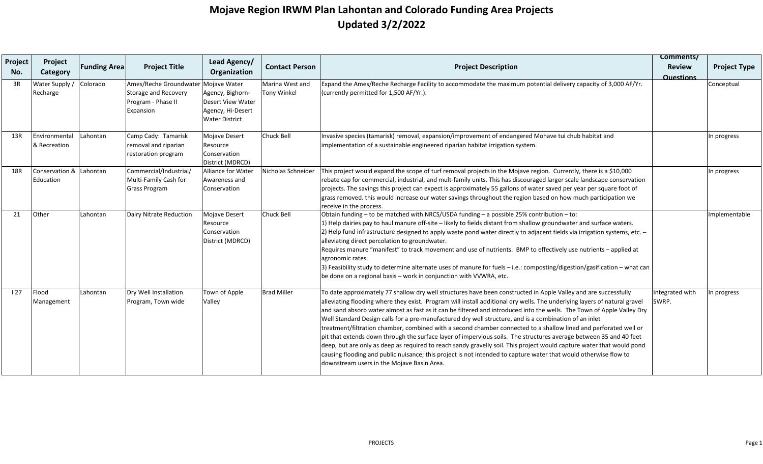| Project<br>No. | Project<br>Category           | <b>Funding Area</b> | <b>Project Title</b>                                                              | Lead Agency/<br>Organization                                                                        | <b>Contact Person</b>                 | <b>Project Description</b>                                                                                                                                                                                                                                                                                                                                                                                                                                                                                                                                                                                                                                                                                                                                                                                                                                                                                                                                                                                            | Comments/<br><b>Review</b> | <b>Project Type</b> |
|----------------|-------------------------------|---------------------|-----------------------------------------------------------------------------------|-----------------------------------------------------------------------------------------------------|---------------------------------------|-----------------------------------------------------------------------------------------------------------------------------------------------------------------------------------------------------------------------------------------------------------------------------------------------------------------------------------------------------------------------------------------------------------------------------------------------------------------------------------------------------------------------------------------------------------------------------------------------------------------------------------------------------------------------------------------------------------------------------------------------------------------------------------------------------------------------------------------------------------------------------------------------------------------------------------------------------------------------------------------------------------------------|----------------------------|---------------------|
| 3R             | Water Supply /<br>Recharge    | Colorado            | Ames/Reche Groundwater<br>Storage and Recovery<br>Program - Phase II<br>Expansion | Mojave Water<br>Agency, Bighorn-<br>Desert View Water<br>Agency, Hi-Desert<br><b>Water District</b> | Marina West and<br><b>Tony Winkel</b> | Expand the Ames/Reche Recharge Facility to accommodate the maximum potential delivery capacity of 3,000 AF/Yr.<br>(currently permitted for 1,500 AF/Yr.).                                                                                                                                                                                                                                                                                                                                                                                                                                                                                                                                                                                                                                                                                                                                                                                                                                                             | <b>Questions</b>           | Conceptual          |
| 13R            | Environmental<br>& Recreation | Lahontan            | Camp Cady: Tamarisk<br>removal and riparian<br>restoration program                | Mojave Desert<br>Resource<br>Conservation<br>District (MDRCD)                                       | Chuck Bell                            | Invasive species (tamarisk) removal, expansion/improvement of endangered Mohave tui chub habitat and<br>implementation of a sustainable engineered riparian habitat irrigation system.                                                                                                                                                                                                                                                                                                                                                                                                                                                                                                                                                                                                                                                                                                                                                                                                                                |                            | In progress         |
| 18R            | Conservation &<br>Education   | Lahontan            | Commercial/Industrial/<br>Multi-Family Cash for<br><b>Grass Program</b>           | Alliance for Water<br>Awareness and<br>Conservation                                                 | Nicholas Schneider                    | This project would expand the scope of turf removal projects in the Mojave region. Currently, there is a \$10,000<br>rebate cap for commercial, industrial, and mult-family units. This has discouraged larger scale landscape conservation<br>projects. The savings this project can expect is approximately 55 gallons of water saved per year per square foot of<br>grass removed. this would increase our water savings throughout the region based on how much participation we<br>receive in the process.                                                                                                                                                                                                                                                                                                                                                                                                                                                                                                       |                            | n progress          |
| 21             | Other                         | Lahontan            | Dairy Nitrate Reduction                                                           | Mojave Desert<br>Resource<br>Conservation<br>District (MDRCD)                                       | Chuck Bell                            | Obtain funding - to be matched with NRCS/USDA funding - a possible 25% contribution - to:<br>1) Help dairies pay to haul manure off-site - likely to fields distant from shallow groundwater and surface waters.<br>2) Help fund infrastructure designed to apply waste pond water directly to adjacent fields via irrigation systems, etc. -<br>alleviating direct percolation to groundwater.<br>Requires manure "manifest" to track movement and use of nutrients. BMP to effectively use nutrients - applied at<br>agronomic rates.<br>3) Feasibility study to determine alternate uses of manure for fuels - i.e.: composting/digestion/gasification - what can<br>be done on a regional basis – work in conjunction with VVWRA, etc.                                                                                                                                                                                                                                                                            |                            | mplementable        |
| 127            | Flood<br>Management           | Lahontan            | Dry Well Installation<br>Program, Town wide                                       | Town of Apple<br>Valley                                                                             | <b>Brad Miller</b>                    | To date approximately 77 shallow dry well structures have been constructed in Apple Valley and are successfully<br>alleviating flooding where they exist. Program will install additional dry wells. The underlying layers of natural gravel<br>and sand absorb water almost as fast as it can be filtered and introduced into the wells. The Town of Apple Valley Dry<br>Well Standard Design calls for a pre-manufactured dry well structure, and is a combination of an inlet<br>treatment/filtration chamber, combined with a second chamber connected to a shallow lined and perforated well or<br>pit that extends down through the surface layer of impervious soils. The structures average between 35 and 40 feet<br>deep, but are only as deep as required to reach sandy gravelly soil. This project would capture water that would pond<br>causing flooding and public nuisance; this project is not intended to capture water that would otherwise flow to<br>downstream users in the Mojave Basin Area. | Integrated with<br>SWRP.   | n progress          |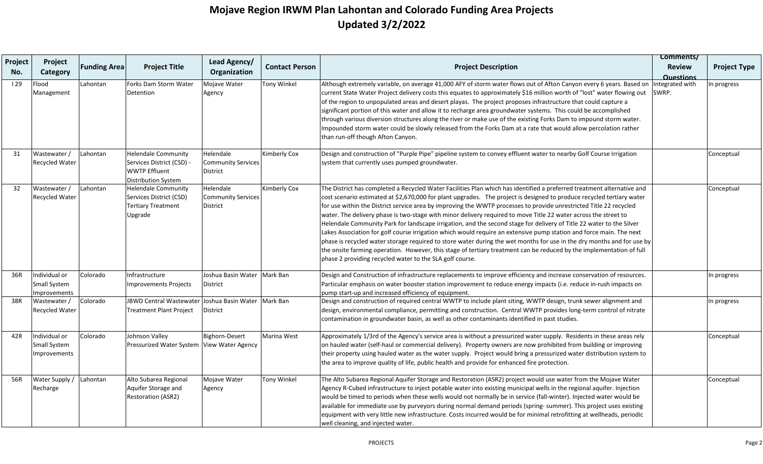|                |                                               |                     |                                                                                                        |                                                    |                       |                                                                                                                                                                                                                                                                                                                                                                                                                                                                                                                                                                                                                                                                                                                                                                                                                                                                                                                                                                                                                                                       | Comments/                         |                     |
|----------------|-----------------------------------------------|---------------------|--------------------------------------------------------------------------------------------------------|----------------------------------------------------|-----------------------|-------------------------------------------------------------------------------------------------------------------------------------------------------------------------------------------------------------------------------------------------------------------------------------------------------------------------------------------------------------------------------------------------------------------------------------------------------------------------------------------------------------------------------------------------------------------------------------------------------------------------------------------------------------------------------------------------------------------------------------------------------------------------------------------------------------------------------------------------------------------------------------------------------------------------------------------------------------------------------------------------------------------------------------------------------|-----------------------------------|---------------------|
| Project<br>No. | Project<br>Category                           | <b>Funding Area</b> | <b>Project Title</b>                                                                                   | Lead Agency/<br>Organization                       | <b>Contact Person</b> | <b>Project Description</b>                                                                                                                                                                                                                                                                                                                                                                                                                                                                                                                                                                                                                                                                                                                                                                                                                                                                                                                                                                                                                            | <b>Review</b><br><b>Questions</b> | <b>Project Type</b> |
| 129            | Flood<br>Management                           | Lahontan            | Forks Dam Storm Water<br>Detention                                                                     | Mojave Water<br>Agency                             | <b>Tony Winkel</b>    | Although extremely variable, on average 41,000 AFY of storm water flows out of Afton Canyon every 6 years. Based on<br>current State Water Project delivery costs this equates to approximately \$16 million worth of "lost" water flowing out<br>of the region to unpopulated areas and desert playas. The project proposes infrastructure that could capture a<br>significant portion of this water and allow it to recharge area groundwater systems. This could be accomplished<br>through various diversion structures along the river or make use of the existing Forks Dam to impound storm water.<br>Impounded storm water could be slowly released from the Forks Dam at a rate that would allow percolation rather<br>than run-off though Afton Canyon.                                                                                                                                                                                                                                                                                     | ntegrated with<br>SWRP.           | n progress          |
| 31             | Wastewater /<br><b>Recycled Water</b>         | Lahontan            | <b>Helendale Community</b><br>Services District (CSD) -<br><b>WWTP Effluent</b><br>Distribution System | Helendale<br><b>Community Services</b><br>District | Kimberly Cox          | Design and construction of "Purple Pipe" pipeline system to convey effluent water to nearby Golf Course Irrigation<br>system that currently uses pumped groundwater.                                                                                                                                                                                                                                                                                                                                                                                                                                                                                                                                                                                                                                                                                                                                                                                                                                                                                  |                                   | Conceptual          |
| 32             | Wastewater /<br><b>Recycled Water</b>         | Lahontan            | <b>Helendale Community</b><br>Services District (CSD)<br><b>Tertiary Treatment</b><br>Upgrade          | Helendale<br><b>Community Services</b><br>District | Kimberly Cox          | The District has completed a Recycled Water Facilities Plan which has identified a preferred treatment alternative and<br>cost scenario estimated at \$2,670,000 for plant upgrades. The project is designed to produce recycled tertiary water<br>for use within the District service area by improving the WWTP processes to provide unrestricted Title 22 recycled<br>water. The delivery phase is two-stage with minor delivery required to move Title 22 water across the street to<br>Helendale Community Park for landscape irrigation, and the second stage for delivery of Title 22 water to the Silver<br>Lakes Association for golf course irrigation which would require an extensive pump station and force main. The next<br>phase is recycled water storage required to store water during the wet months for use in the dry months and for use by<br>the onsite farming operation. However, this stage of tertiary treatment can be reduced by the implementation of full<br>phase 2 providing recycled water to the SLA golf course. |                                   | Conceptual          |
| 36R            | Individual or<br>Small System<br>Improvements | Colorado            | Infrastructure<br><b>Improvements Projects</b>                                                         | Joshua Basin Water<br>District                     | Mark Ban              | Design and Construction of infrastructure replacements to improve efficiency and increase conservation of resources.<br>Particular emphasis on water booster station improvement to reduce energy impacts (i.e. reduce in-rush impacts on<br>pump start-up and increased efficiency of equipment.                                                                                                                                                                                                                                                                                                                                                                                                                                                                                                                                                                                                                                                                                                                                                     |                                   | n progress          |
| 38R            | Wastewater /<br>Recycled Water                | Colorado            | <b>JBWD Central Wastewater</b><br><b>Treatment Plant Project</b>                                       | Joshua Basin Water<br>District                     | Mark Ban              | Design and construction of required central WWTP to include plant siting, WWTP design, trunk sewer alignment and<br>design, environmental compliance, permitting and construction. Central WWTP provides long-term control of nitrate<br>contamination in groundwater basin, as well as other contaminants identified in past studies.                                                                                                                                                                                                                                                                                                                                                                                                                                                                                                                                                                                                                                                                                                                |                                   | In progress         |
| 42R            | Individual or<br>Small System<br>Improvements | Colorado            | Johnson Valley<br>Pressurized Water System                                                             | <b>Bighorn-Desert</b><br><b>View Water Agency</b>  | Marina West           | Approximately 1/3rd of the Agency's service area is without a pressurized water supply. Residents in these areas rely<br>on hauled water (self-haul or commercial delivery). Property owners are now prohibited from building or improving<br>their property using hauled water as the water supply. Project would bring a pressurized water distribution system to<br>the area to improve quality of life, public health and provide for enhanced fire protection.                                                                                                                                                                                                                                                                                                                                                                                                                                                                                                                                                                                   |                                   | Conceptual          |
| 56R            | Water Supply /<br>Recharge                    | Lahontan            | Alto Subarea Regional<br>Aquifer Storage and<br><b>Restoration (ASR2)</b>                              | Mojave Water<br>Agency                             | <b>Tony Winkel</b>    | The Alto Subarea Regional Aquifer Storage and Restoration (ASR2) project would use water from the Mojave Water<br>Agency R-Cubed infrastructure to inject potable water into existing municipal wells in the regional aquifer. Injection<br>would be timed to periods when these wells would not normally be in service (fall-winter). Injected water would be<br>available for immediate use by purveyors during normal demand periods (spring-summer). This project uses existing<br>equipment with very little new infrastructure. Costs incurred would be for minimal retrofitting at wellheads, periodic<br>well cleaning, and injected water.                                                                                                                                                                                                                                                                                                                                                                                                   |                                   | Conceptual          |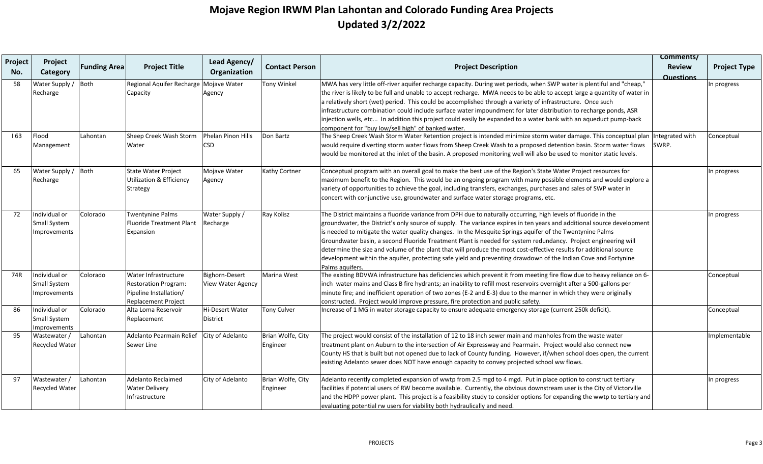|                |                                                      |                     |                                                                                                             |                                     |                               |                                                                                                                                                                                                                                                                                                                                                                                                                                                                                                                                                                                                                                                                                                                                   | Comments/                         |                     |
|----------------|------------------------------------------------------|---------------------|-------------------------------------------------------------------------------------------------------------|-------------------------------------|-------------------------------|-----------------------------------------------------------------------------------------------------------------------------------------------------------------------------------------------------------------------------------------------------------------------------------------------------------------------------------------------------------------------------------------------------------------------------------------------------------------------------------------------------------------------------------------------------------------------------------------------------------------------------------------------------------------------------------------------------------------------------------|-----------------------------------|---------------------|
| Project<br>No. | Project<br>Category                                  | <b>Funding Area</b> | <b>Project Title</b>                                                                                        | Lead Agency/<br>Organization        | <b>Contact Person</b>         | <b>Project Description</b>                                                                                                                                                                                                                                                                                                                                                                                                                                                                                                                                                                                                                                                                                                        | <b>Review</b><br><b>Questions</b> | <b>Project Type</b> |
| 58             | Water Supply /<br>Recharge                           | Both                | Regional Aquifer Recharge Mojave Water<br>Capacity                                                          | Agency                              | Tony Winkel                   | MWA has very little off-river aquifer recharge capacity. During wet periods, when SWP water is plentiful and "cheap,"<br>the river is likely to be full and unable to accept recharge. MWA needs to be able to accept large a quantity of water in<br>a relatively short (wet) period. This could be accomplished through a variety of infrastructure. Once such<br>infrastructure combination could include surface water impoundment for later distribution to recharge ponds, ASR<br>injection wells, etc In addition this project could easily be expanded to a water bank with an aqueduct pump-back<br>component for "buy low/sell high" of banked water.                                                                   |                                   | In progress         |
| 163            | Flood<br>Management                                  | Lahontan            | Sheep Creek Wash Storm<br>Water                                                                             | Phelan Pinon Hills<br><b>CSD</b>    | Don Bartz                     | The Sheep Creek Wash Storm Water Retention project is intended minimize storm water damage. This conceptual plan Integrated with<br>would require diverting storm water flows from Sheep Creek Wash to a proposed detention basin. Storm water flows<br>would be monitored at the inlet of the basin. A proposed monitoring well will also be used to monitor static levels.                                                                                                                                                                                                                                                                                                                                                      | ISWRP.                            | Conceptual          |
| 65             | Water Supply / Both<br>Recharge                      |                     | <b>State Water Project</b><br>Utilization & Efficiency<br>Strategy                                          | Mojave Water<br>Agency              | Kathy Cortner                 | Conceptual program with an overall goal to make the best use of the Region's State Water Project resources for<br>maximum benefit to the Region. This would be an ongoing program with many possible elements and would explore a<br>variety of opportunities to achieve the goal, including transfers, exchanges, purchases and sales of SWP water in<br>concert with conjunctive use, groundwater and surface water storage programs, etc.                                                                                                                                                                                                                                                                                      |                                   | In progress         |
| 72             | Individual or<br>Small System<br><b>Improvements</b> | Colorado            | Twentynine Palms<br>Fluoride Treatment Plant<br>Expansion                                                   | Water Supply /<br>Recharge          | Ray Kolisz                    | The District maintains a fluoride variance from DPH due to naturally occurring, high levels of fluoride in the<br>groundwater, the District's only source of supply. The variance expires in ten years and additional source development<br>is needed to mitigate the water quality changes. In the Mesquite Springs aquifer of the Twentynine Palms<br>Groundwater basin, a second Fluoride Treatment Plant is needed for system redundancy. Project engineering will<br>determine the size and volume of the plant that will produce the most cost-effective results for additional source<br>development within the aquifer, protecting safe yield and preventing drawdown of the Indian Cove and Fortynine<br>Palms aquifers. |                                   | In progress         |
| 74R            | Individual or<br>Small System<br>Improvements        | Colorado            | Water Infrastructure<br><b>Restoration Program:</b><br>Pipeline Installation/<br><b>Replacement Project</b> | Bighorn-Desert<br>View Water Agency | Marina West                   | The existing BDVWA infrastructure has deficiencies which prevent it from meeting fire flow due to heavy reliance on 6-<br>inch water mains and Class B fire hydrants; an inability to refill most reservoirs overnight after a 500-gallons per<br>minute fire; and inefficient operation of two zones (E-2 and E-3) due to the manner in which they were originally<br>constructed. Project would improve pressure, fire protection and public safety.                                                                                                                                                                                                                                                                            |                                   | Conceptual          |
| 86             | Individual or<br>Small System<br><b>Improvements</b> | Colorado            | Alta Loma Reservoir<br>Replacement                                                                          | Hi-Desert Water<br>District         | <b>Tony Culver</b>            | Increase of 1 MG in water storage capacity to ensure adequate emergency storage (current 250k deficit).                                                                                                                                                                                                                                                                                                                                                                                                                                                                                                                                                                                                                           |                                   | Conceptual          |
| 95             | Wastewater /<br><b>Recycled Water</b>                | Lahontan            | Adelanto Pearmain Relief City of Adelanto<br>Sewer Line                                                     |                                     | Brian Wolfe, City<br>Engineer | The project would consist of the installation of 12 to 18 inch sewer main and manholes from the waste water<br>treatment plant on Auburn to the intersection of Air Expressway and Pearmain. Project would also connect new<br>County HS that is built but not opened due to lack of County funding. However, if/when school does open, the current<br>existing Adelanto sewer does NOT have enough capacity to convey projected school ww flows.                                                                                                                                                                                                                                                                                 |                                   | Implementable       |
| 97             | Wastewater /<br><b>Recycled Water</b>                | Lahontan            | Adelanto Reclaimed<br><b>Water Delivery</b><br>Infrastructure                                               | City of Adelanto                    | Brian Wolfe, City<br>Engineer | Adelanto recently completed expansion of wwtp from 2.5 mgd to 4 mgd. Put in place option to construct tertiary<br>facilities if potential users of RW become available. Currently, the obvious downstream user is the City of Victorville<br>and the HDPP power plant. This project is a feasibility study to consider options for expanding the wwtp to tertiary and<br>evaluating potential rw users for viability both hydraulically and need.                                                                                                                                                                                                                                                                                 |                                   | In progress         |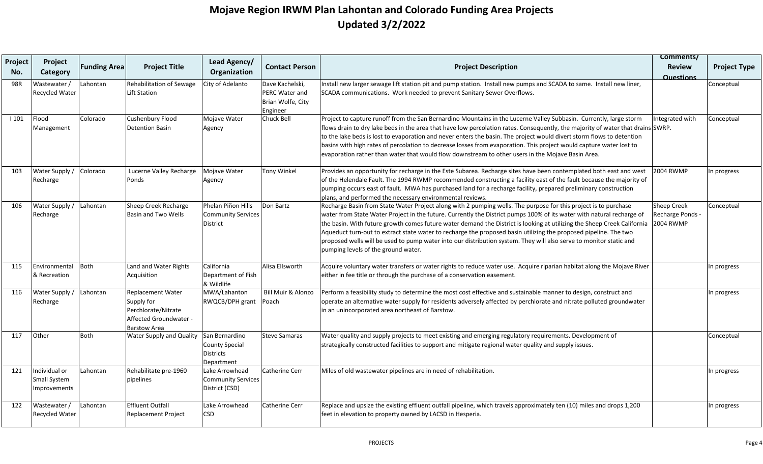|                |                                               |                     |                                                                                                                |                                                                    |                                                                    |                                                                                                                                                                                                                                                                                                                                                                                                                                                                                                                                                                                                                                                      | Comments/                                                  |                     |
|----------------|-----------------------------------------------|---------------------|----------------------------------------------------------------------------------------------------------------|--------------------------------------------------------------------|--------------------------------------------------------------------|------------------------------------------------------------------------------------------------------------------------------------------------------------------------------------------------------------------------------------------------------------------------------------------------------------------------------------------------------------------------------------------------------------------------------------------------------------------------------------------------------------------------------------------------------------------------------------------------------------------------------------------------------|------------------------------------------------------------|---------------------|
| Project<br>No. | Project<br>Category                           | <b>Funding Area</b> | <b>Project Title</b>                                                                                           | Lead Agency/<br>Organization                                       | <b>Contact Person</b>                                              | <b>Project Description</b>                                                                                                                                                                                                                                                                                                                                                                                                                                                                                                                                                                                                                           | <b>Review</b><br><b>Questions</b>                          | <b>Project Type</b> |
| 98R            | Wastewater /<br>Recycled Water                | Lahontan            | Rehabilitation of Sewage<br><b>Lift Station</b>                                                                | City of Adelanto                                                   | Dave Kachelski,<br>PERC Water and<br>Brian Wolfe, City<br>Engineer | Install new larger sewage lift station pit and pump station. Install new pumps and SCADA to same. Install new liner,<br>SCADA communications. Work needed to prevent Sanitary Sewer Overflows.                                                                                                                                                                                                                                                                                                                                                                                                                                                       |                                                            | Conceptual          |
| 1101           | Flood<br>Management                           | Colorado            | Cushenbury Flood<br><b>Detention Basin</b>                                                                     | Mojave Water<br>Agency                                             | Chuck Bell                                                         | Project to capture runoff from the San Bernardino Mountains in the Lucerne Valley Subbasin. Currently, large storm<br>flows drain to dry lake beds in the area that have low percolation rates. Consequently, the majority of water that drains SWRP.<br>to the lake beds is lost to evaporation and never enters the basin. The project would divert storm flows to detention<br>basins with high rates of percolation to decrease losses from evaporation. This project would capture water lost to<br>evaporation rather than water that would flow downstream to other users in the Mojave Basin Area.                                           | Integrated with                                            | Conceptual          |
| 103            | Water Supply /<br>Recharge                    | Colorado            | Lucerne Valley Recharge<br>Ponds                                                                               | Mojave Water<br>Agency                                             | <b>Tony Winkel</b>                                                 | Provides an opportunity for recharge in the Este Subarea. Recharge sites have been contemplated both east and west<br>of the Helendale Fault. The 1994 RWMP recommended constructing a facility east of the fault because the majority of<br>pumping occurs east of fault. MWA has purchased land for a recharge facility, prepared preliminary construction<br>plans, and performed the necessary environmental reviews.                                                                                                                                                                                                                            | <b>2004 RWMP</b>                                           | n progress          |
| 106            | Water Supply /<br>Recharge                    | Lahontan            | Sheep Creek Recharge<br>Basin and Two Wells                                                                    | Phelan Piñon Hills<br><b>Community Services</b><br>District        | Don Bartz                                                          | Recharge Basin from State Water Project along with 2 pumping wells. The purpose for this project is to purchase<br>water from State Water Project in the future. Currently the District pumps 100% of its water with natural recharge of<br>the basin. With future growth comes future water demand the District is looking at utilizing the Sheep Creek California<br>Aqueduct turn-out to extract state water to recharge the proposed basin utilizing the proposed pipeline. The two<br>proposed wells will be used to pump water into our distribution system. They will also serve to monitor static and<br>pumping levels of the ground water. | <b>Sheep Creek</b><br>Recharge Ponds -<br><b>2004 RWMP</b> | Conceptual          |
| 115            | Environmental<br>& Recreation                 | Both                | Land and Water Rights<br>Acquisition                                                                           | California<br>Department of Fish<br>& Wildlife                     | Alisa Ellsworth                                                    | Acquire voluntary water transfers or water rights to reduce water use. Acquire riparian habitat along the Mojave River<br>either in fee title or through the purchase of a conservation easement.                                                                                                                                                                                                                                                                                                                                                                                                                                                    |                                                            | n progress          |
| 116            | Water Supply /<br>Recharge                    | Lahontan            | <b>Replacement Water</b><br>Supply for<br>Perchlorate/Nitrate<br>Affected Groundwater -<br><b>Barstow Area</b> | MWA/Lahanton<br>RWQCB/DPH grant                                    | Bill Muir & Alonzo<br>Poach                                        | Perform a feasibility study to determine the most cost effective and sustainable manner to design, construct and<br>operate an alternative water supply for residents adversely affected by perchlorate and nitrate polluted groundwater<br>in an unincorporated area northeast of Barstow.                                                                                                                                                                                                                                                                                                                                                          |                                                            | n progress          |
| 117            | Other                                         | Both                | Water Supply and Quality                                                                                       | San Bernardino<br>County Special<br><b>Districts</b><br>Department | <b>Steve Samaras</b>                                               | Water quality and supply projects to meet existing and emerging regulatory requirements. Development of<br>strategically constructed facilities to support and mitigate regional water quality and supply issues.                                                                                                                                                                                                                                                                                                                                                                                                                                    |                                                            | Conceptual          |
| 121            | Individual or<br>Small System<br>Improvements | Lahontan            | Rehabilitate pre-1960<br>pipelines                                                                             | Lake Arrowhead<br><b>Community Services</b><br>District (CSD)      | <b>Catherine Cerr</b>                                              | Miles of old wastewater pipelines are in need of rehabilitation.                                                                                                                                                                                                                                                                                                                                                                                                                                                                                                                                                                                     |                                                            | n progress          |
| 122            | Wastewater /<br>Recycled Water                | Lahontan            | <b>Effluent Outfall</b><br>Replacement Project                                                                 | Lake Arrowhead<br>CSD                                              | Catherine Cerr                                                     | Replace and upsize the existing effluent outfall pipeline, which travels approximately ten (10) miles and drops 1,200<br>feet in elevation to property owned by LACSD in Hesperia.                                                                                                                                                                                                                                                                                                                                                                                                                                                                   |                                                            | In progress         |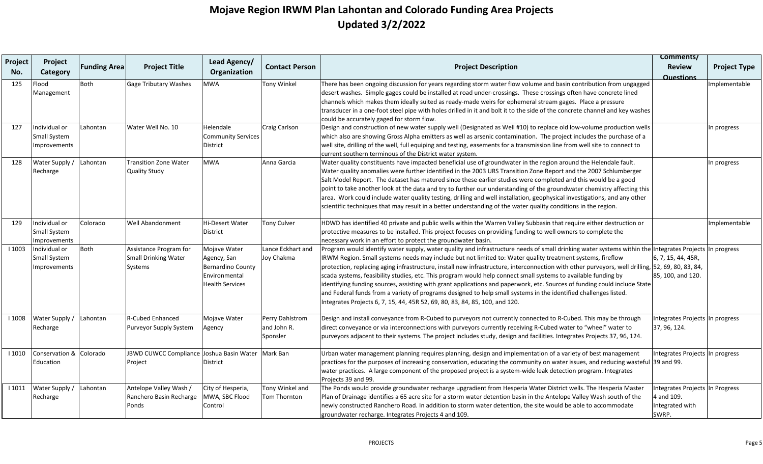| Project | Project                 |                     |                              | Lead Agency/              |                       |                                                                                                                                                  | Comments/                       |                     |
|---------|-------------------------|---------------------|------------------------------|---------------------------|-----------------------|--------------------------------------------------------------------------------------------------------------------------------------------------|---------------------------------|---------------------|
| No.     | Category                | <b>Funding Area</b> | <b>Project Title</b>         | Organization              | <b>Contact Person</b> | <b>Project Description</b>                                                                                                                       | <b>Review</b>                   | <b>Project Type</b> |
|         |                         |                     |                              |                           |                       |                                                                                                                                                  | <b>Questions</b>                |                     |
| 125     | Flood                   | Both                | <b>Gage Tributary Washes</b> | MWA                       | Tony Winkel           | There has been ongoing discussion for years regarding storm water flow volume and basin contribution from ungagged                               |                                 | Implementable       |
|         | Management              |                     |                              |                           |                       | desert washes. Simple gages could be installed at road under-crossings. These crossings often have concrete lined                                |                                 |                     |
|         |                         |                     |                              |                           |                       | channels which makes them ideally suited as ready-made weirs for ephemeral stream gages. Place a pressure                                        |                                 |                     |
|         |                         |                     |                              |                           |                       | transducer in a one-foot steel pipe with holes drilled in it and bolt it to the side of the concrete channel and key washes                      |                                 |                     |
|         |                         |                     |                              |                           |                       | could be accurately gaged for storm flow.                                                                                                        |                                 |                     |
| 127     | Individual or           | Lahontan            | Water Well No. 10            | Helendale                 | Craig Carlson         | Design and construction of new water supply well (Designated as Well #10) to replace old low-volume production wells                             |                                 | In progress         |
|         | Small System            |                     |                              | <b>Community Services</b> |                       | which also are showing Gross Alpha emitters as well as arsenic contamination. The project includes the purchase of a                             |                                 |                     |
|         | Improvements            |                     |                              | District                  |                       | well site, drilling of the well, full equiping and testing, easements for a transmission line from well site to connect to                       |                                 |                     |
|         |                         |                     |                              |                           |                       | current southern terminous of the District water system.                                                                                         |                                 |                     |
| 128     | Water Supply /          | Lahontan            | <b>Transition Zone Water</b> | <b>MWA</b>                | Anna Garcia           | Water quality constituents have impacted beneficial use of groundwater in the region around the Helendale fault.                                 |                                 | In progress         |
|         | Recharge                |                     | Quality Study                |                           |                       | Water quality anomalies were further identified in the 2003 URS Transition Zone Report and the 2007 Schlumberger                                 |                                 |                     |
|         |                         |                     |                              |                           |                       | Salt Model Report. The dataset has matured since these earlier studies were completed and this would be a good                                   |                                 |                     |
|         |                         |                     |                              |                           |                       | point to take another look at the data and try to further our understanding of the groundwater chemistry affecting this                          |                                 |                     |
|         |                         |                     |                              |                           |                       | area. Work could include water quality testing, drilling and well installation, geophysical investigations, and any other                        |                                 |                     |
|         |                         |                     |                              |                           |                       | scientific techniques that may result in a better understanding of the water quality conditions in the region.                                   |                                 |                     |
| 129     | Individual or           | Colorado            | <b>Well Abandonment</b>      | <b>Hi-Desert Water</b>    | <b>Tony Culver</b>    | HDWD has identified 40 private and public wells within the Warren Valley Subbasin that require either destruction or                             |                                 | Implementable       |
|         | Small System            |                     |                              | District                  |                       | protective measures to be installed. This project focuses on providing funding to well owners to complete the                                    |                                 |                     |
|         | Improvements            |                     |                              |                           |                       | necessary work in an effort to protect the groundwater basin.                                                                                    |                                 |                     |
| 1003    | Individual or           | Both                | Assistance Program for       | Mojave Water              | Lance Eckhart and     | Program would identify water supply, water quality and infrastructure needs of small drinking water systems within the Integrates Projects       |                                 | In progress         |
|         | Small System            |                     | <b>Small Drinking Water</b>  | Agency, San               | Joy Chakma            | IRWM Region. Small systems needs may include but not limited to: Water quality treatment systems, fireflow                                       | 6, 7, 15, 44, 45R,              |                     |
|         | Improvements            |                     | Systems                      | <b>Bernardino County</b>  |                       | protection, replacing aging infrastructure, install new infrastructure, interconnection with other purveyors, well drilling, 52, 69, 80, 83, 84, |                                 |                     |
|         |                         |                     |                              | Environmental             |                       | scada systems, feasibility studies, etc. This program would help connect small systems to available funding by                                   | 85, 100, and 120.               |                     |
|         |                         |                     |                              | <b>Health Services</b>    |                       | identifying funding sources, assisting with grant applications and paperwork, etc. Sources of funding could include State                        |                                 |                     |
|         |                         |                     |                              |                           |                       | and Federal funds from a variety of programs designed to help small systems in the identified challenges listed.                                 |                                 |                     |
|         |                         |                     |                              |                           |                       | Integrates Projects 6, 7, 15, 44, 45R 52, 69, 80, 83, 84, 85, 100, and 120.                                                                      |                                 |                     |
| 1008    | Water Supply /          | Lahontan            | <b>R-Cubed Enhanced</b>      | Mojave Water              | Perry Dahlstrom       | Design and install conveyance from R-Cubed to purveyors not currently connected to R-Cubed. This may be through                                  | <b>Integrates Projects</b>      | n progress          |
|         | Recharge                |                     | Purveyor Supply System       | Agency                    | and John R.           | direct conveyance or via interconnections with purveyors currently receiving R-Cubed water to "wheel" water to                                   | 37, 96, 124.                    |                     |
|         |                         |                     |                              |                           | Sponsler              | purveyors adjacent to their systems. The project includes study, design and facilities. Integrates Projects 37, 96, 124.                         |                                 |                     |
| 1010    | Conservation & Colorado |                     | JBWD CUWCC Compliance        | Joshua Basin Water        | Mark Ban              | Urban water management planning requires planning, design and implementation of a variety of best management                                     | Integrates Projects             | In progress         |
|         | Education               |                     | Project                      | District                  |                       | practices for the purposes of increasing conservation, educating the community on water issues, and reducing wasteful 39 and 99.                 |                                 |                     |
|         |                         |                     |                              |                           |                       | water practices. A large component of the proposed project is a system-wide leak detection program. Integrates<br>Projects 39 and 99.            |                                 |                     |
| 1011    | Water Supply /          | Lahontan            | Antelope Valley Wash /       | City of Hesperia,         | Tony Winkel and       | The Ponds would provide groundwater recharge upgradient from Hesperia Water District wells. The Hesperia Master                                  | Integrates Projects In Progress |                     |
|         | Recharge                |                     | Ranchero Basin Recharge      | MWA, SBC Flood            | Tom Thornton          | Plan of Drainage identifies a 65 acre site for a storm water detention basin in the Antelope Valley Wash south of the                            | 4 and 109.                      |                     |
|         |                         |                     | Ponds                        | Control                   |                       | newly constructed Ranchero Road. In addition to storm water detention, the site would be able to accommodate                                     | Integrated with                 |                     |
|         |                         |                     |                              |                           |                       | groundwater recharge. Integrates Projects 4 and 109.                                                                                             | SWRP.                           |                     |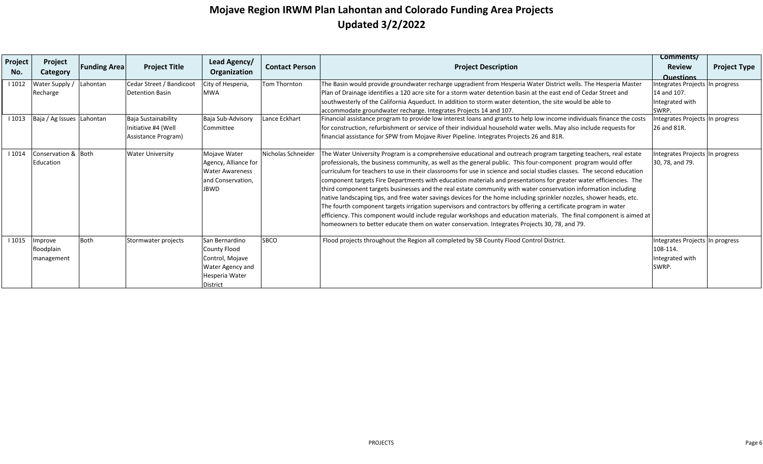| Project<br>No. | Project<br>Category       | <b>Funding Area</b> | <b>Project Title</b>     | Lead Agency/<br>Organization | <b>Contact Person</b> | <b>Project Description</b>                                                                                             | Comments/<br><b>Review</b><br><b>Questions</b> | <b>Project Type</b> |
|----------------|---------------------------|---------------------|--------------------------|------------------------------|-----------------------|------------------------------------------------------------------------------------------------------------------------|------------------------------------------------|---------------------|
| 1012           | Water Supply /            | Lahontan            | Cedar Street / Bandicoot | City of Hesperia,            | Tom Thornton          | The Basin would provide groundwater recharge upgradient from Hesperia Water District wells. The Hesperia Master        | ntegrates Projects In progress                 |                     |
|                | Recharge                  |                     | <b>Detention Basin</b>   | <b>MWA</b>                   |                       | Plan of Drainage identifies a 120 acre site for a storm water detention basin at the east end of Cedar Street and      | 14 and 107.                                    |                     |
|                |                           |                     |                          |                              |                       | southwesterly of the California Aqueduct. In addition to storm water detention, the site would be able to              | Integrated with                                |                     |
|                |                           |                     |                          |                              |                       | accommodate groundwater recharge. Integrates Projects 14 and 107.                                                      | SWRP.                                          |                     |
| 1013           | Baja / Ag Issues Lahontan |                     | Baja Sustainability      | Baja Sub-Advisory            | Lance Eckhart         | Financial assistance program to provide low interest loans and grants to help low income individuals finance the costs | ntegrates Projects In progress                 |                     |
|                |                           |                     | Initiative #4 (Well      | lCommittee                   |                       | for construction, refurbishment or service of their individual household water wells. May also include requests for    | 26 and 81R.                                    |                     |
|                |                           |                     | Assistance Program)      |                              |                       | financial assistance for SPW from Mojave River Pipeline. Integrates Projects 26 and 81R.                               |                                                |                     |
| 1014           | Conservation & Both       |                     | <b>Water University</b>  | Mojave Water                 | Nicholas Schneider    | The Water University Program is a comprehensive educational and outreach program targeting teachers, real estate       | ntegrates Projects In progress                 |                     |
|                | Education                 |                     |                          | Agency, Alliance for         |                       | professionals, the business community, as well as the general public. This four-component program would offer          | 30, 78, and 79.                                |                     |
|                |                           |                     |                          | <b>Water Awareness</b>       |                       | curriculum for teachers to use in their classrooms for use in science and social studies classes. The second education |                                                |                     |
|                |                           |                     |                          | and Conservation,            |                       | component targets Fire Departments with education materials and presentations for greater water efficiencies. The      |                                                |                     |
|                |                           |                     |                          | <b>JBWD</b>                  |                       | third component targets businesses and the real estate community with water conservation information including         |                                                |                     |
|                |                           |                     |                          |                              |                       | native landscaping tips, and free water savings devices for the home including sprinkler nozzles, shower heads, etc.   |                                                |                     |
|                |                           |                     |                          |                              |                       | The fourth component targets irrigation supervisors and contractors by offering a certificate program in water         |                                                |                     |
|                |                           |                     |                          |                              |                       | efficiency. This component would include regular workshops and education materials. The final component is aimed at    |                                                |                     |
|                |                           |                     |                          |                              |                       | homeowners to better educate them on water conservation. Integrates Projects 30, 78, and 79.                           |                                                |                     |
| 11015          | Improve                   | <b>Both</b>         | Stormwater projects      | San Bernardino               | <b>SBCO</b>           | Flood projects throughout the Region all completed by SB County Flood Control District.                                | Integrates Projects In progress                |                     |
|                | floodplain                |                     |                          | County Flood                 |                       |                                                                                                                        | 108-114.                                       |                     |
|                | management                |                     |                          | Control, Mojave              |                       |                                                                                                                        | Integrated with                                |                     |
|                |                           |                     |                          | Water Agency and             |                       |                                                                                                                        | SWRP.                                          |                     |
|                |                           |                     |                          | Hesperia Water               |                       |                                                                                                                        |                                                |                     |
|                |                           |                     |                          | District                     |                       |                                                                                                                        |                                                |                     |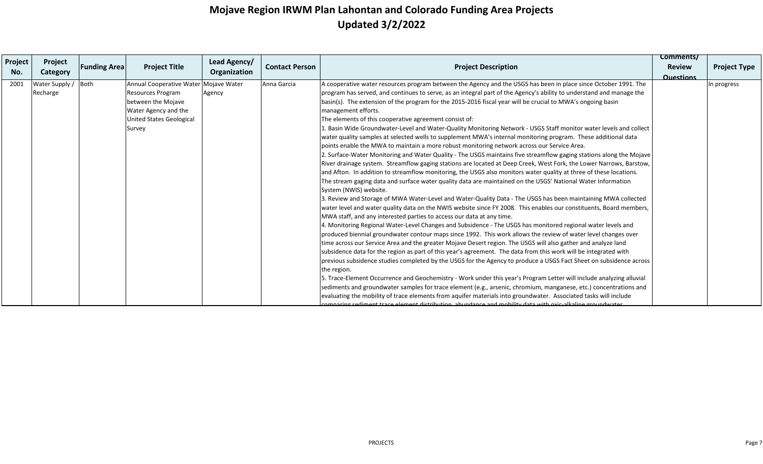| Project<br>No. | Project<br>Category        | <b>Funding Area</b> | <b>Project Title</b>                                                                                                                           | Lead Agency/<br>Organization | <b>Contact Person</b> | <b>Project Description</b>                                                                                                                                                                                                                                                                                                                                                                                                                                                                                                                                                                                                                                                                                                                                                                                                                                                                                                                                                                                                                                                                                                                                                                                                                                                                                                                                                                                                                                                                                                                                                                                                                                                                                                                                                                                                                                                                                                                                                                                                                                                                                                                                                                                                                                                                                                                                                                                                                                                                                                                                                                                                                                                                              | Comments/<br><b>Review</b> | <b>Project Type</b> |
|----------------|----------------------------|---------------------|------------------------------------------------------------------------------------------------------------------------------------------------|------------------------------|-----------------------|---------------------------------------------------------------------------------------------------------------------------------------------------------------------------------------------------------------------------------------------------------------------------------------------------------------------------------------------------------------------------------------------------------------------------------------------------------------------------------------------------------------------------------------------------------------------------------------------------------------------------------------------------------------------------------------------------------------------------------------------------------------------------------------------------------------------------------------------------------------------------------------------------------------------------------------------------------------------------------------------------------------------------------------------------------------------------------------------------------------------------------------------------------------------------------------------------------------------------------------------------------------------------------------------------------------------------------------------------------------------------------------------------------------------------------------------------------------------------------------------------------------------------------------------------------------------------------------------------------------------------------------------------------------------------------------------------------------------------------------------------------------------------------------------------------------------------------------------------------------------------------------------------------------------------------------------------------------------------------------------------------------------------------------------------------------------------------------------------------------------------------------------------------------------------------------------------------------------------------------------------------------------------------------------------------------------------------------------------------------------------------------------------------------------------------------------------------------------------------------------------------------------------------------------------------------------------------------------------------------------------------------------------------------------------------------------------------|----------------------------|---------------------|
| 2001           | Water Supply /<br>Recharge | Both                | Annual Cooperative Water Mojave Water<br>Resources Program<br>between the Mojave<br>Water Agency and the<br>United States Geological<br>Survey | Agency                       | Anna Garcia           | A cooperative water resources program between the Agency and the USGS has been in place since October 1991. The<br>program has served, and continues to serve, as an integral part of the Agency's ability to understand and manage the<br>basin(s). The extension of the program for the 2015-2016 fiscal year will be crucial to MWA's ongoing basin<br>management efforts.<br>The elements of this cooperative agreement consist of:<br>1. Basin Wide Groundwater-Level and Water-Quality Monitoring Network - USGS Staff monitor water levels and collect<br>water quality samples at selected wells to supplement MWA's internal monitoring program. These additional data<br>points enable the MWA to maintain a more robust monitoring network across our Service Area.<br>2. Surface-Water Monitoring and Water Quality - The USGS maintains five streamflow gaging stations along the Mojave<br>River drainage system. Streamflow gaging stations are located at Deep Creek, West Fork, the Lower Narrows, Barstow,<br>and Afton. In addition to streamflow monitoring, the USGS also monitors water quality at three of these locations.<br>The stream gaging data and surface water quality data are maintained on the USGS' National Water Information<br>System (NWIS) website.<br>3. Review and Storage of MWA Water-Level and Water-Quality Data - The USGS has been maintaining MWA collected<br>water level and water quality data on the NWIS website since FY 2008. This enables our constituents, Board members,<br>MWA staff, and any interested parties to access our data at any time.<br>4. Monitoring Regional Water-Level Changes and Subsidence - The USGS has monitored regional water levels and<br>produced biennial groundwater contour maps since 1992. This work allows the review of water level changes over<br>time across our Service Area and the greater Mojave Desert region. The USGS will also gather and analyze land<br>subsidence data for the region as part of this year's agreement. The data from this work will be integrated with<br>previous subsidence studies completed by the USGS for the Agency to produce a USGS Fact Sheet on subsidence across<br>the region.<br>5. Trace-Element Occurrence and Geochemistry - Work under this year's Program Letter will include analyzing alluvial<br>sediments and groundwater samples for trace element (e.g., arsenic, chromium, manganese, etc.) concentrations and<br>evaluating the mobility of trace elements from aquifer materials into groundwater. Associated tasks will include<br>comparing sediment trace element distribution, abundance and mobility data with ovic-alkaline groundwater | <b>Questions</b>           | In progress         |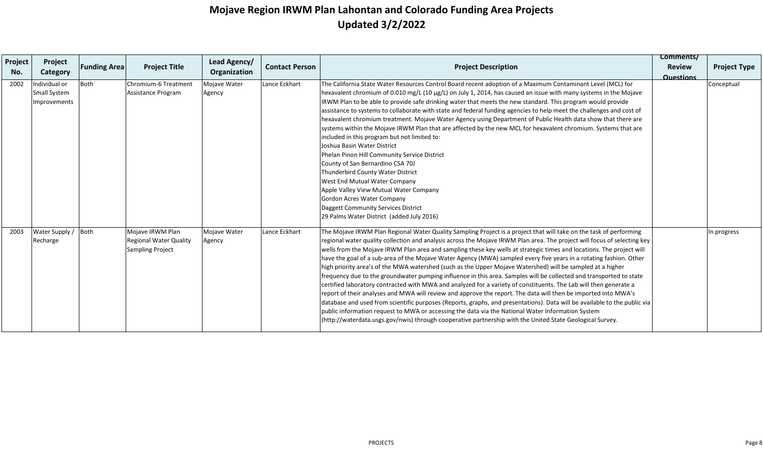| Project | Project                                              | <b>Funding Area</b> | <b>Project Title</b>                                                  | Lead Agency/           | <b>Contact Person</b> | <b>Project Description</b>                                                                                                                                                                                                                                                                                                                                                                                                                                                                                                                                                                                                                                                                                                                                                                                                                                                                                                                                                                                                                                                                                                                                                                                                                                                                                              | Comments/<br><b>Review</b> | <b>Project Type</b> |
|---------|------------------------------------------------------|---------------------|-----------------------------------------------------------------------|------------------------|-----------------------|-------------------------------------------------------------------------------------------------------------------------------------------------------------------------------------------------------------------------------------------------------------------------------------------------------------------------------------------------------------------------------------------------------------------------------------------------------------------------------------------------------------------------------------------------------------------------------------------------------------------------------------------------------------------------------------------------------------------------------------------------------------------------------------------------------------------------------------------------------------------------------------------------------------------------------------------------------------------------------------------------------------------------------------------------------------------------------------------------------------------------------------------------------------------------------------------------------------------------------------------------------------------------------------------------------------------------|----------------------------|---------------------|
| No.     | Category                                             |                     |                                                                       | Organization           |                       |                                                                                                                                                                                                                                                                                                                                                                                                                                                                                                                                                                                                                                                                                                                                                                                                                                                                                                                                                                                                                                                                                                                                                                                                                                                                                                                         | <b>Questions</b>           |                     |
| 2002    | Individual or<br><b>Small System</b><br>Improvements | <b>Both</b>         | Chromium-6 Treatment<br>Assistance Program                            | Mojave Water<br>Agency | Lance Eckhart         | The California State Water Resources Control Board recent adoption of a Maximum Contaminant Level (MCL) for<br>hexavalent chromium of 0.010 mg/L (10 µg/L) on July 1, 2014, has caused an issue with many systems in the Mojave<br>IRWM Plan to be able to provide safe drinking water that meets the new standard. This program would provide<br>assistance to systems to collaborate with state and federal funding agencies to help meet the challenges and cost of<br>hexavalent chromium treatment. Mojave Water Agency using Department of Public Health data show that there are<br>systems within the Mojave IRWM Plan that are affected by the new MCL for hexavalent chromium. Systems that are<br>included in this program but not limited to:<br>Joshua Basin Water District<br>Phelan Pinon Hill Community Service District<br>County of San Bernardino CSA 70J<br>Thunderbird County Water District<br>West End Mutual Water Company<br>Apple Valley View Mutual Water Company<br>Gordon Acres Water Company<br>Daggett Community Services District<br>29 Palms Water District (added July 2016)                                                                                                                                                                                                          |                            | Conceptual          |
| 2003    | Water Supply / Both<br>Recharge                      |                     | Mojave IRWM Plan<br>Regional Water Quality<br><b>Sampling Project</b> | Mojave Water<br>Agency | Lance Eckhart         | The Mojave IRWM Plan Regional Water Quality Sampling Project is a project that will take on the task of performing<br>regional water quality collection and analysis across the Mojave IRWM Plan area. The project will focus of selecting key<br>wells from the Mojave IRWM Plan area and sampling these key wells at strategic times and locations. The project will<br>have the goal of a sub-area of the Mojave Water Agency (MWA) sampled every five years in a rotating fashion. Other<br>high priority area's of the MWA watershed (such as the Upper Mojave Watershed) will be sampled at a higher<br>frequency due to the groundwater pumping influence in this area. Samples will be collected and transported to state<br>certified laboratory contracted with MWA and analyzed for a variety of constituents. The Lab will then generate a<br>report of their analyses and MWA will review and approve the report. The data will then be imported into MWA's<br>database and used from scientific purposes (Reports, graphs, and presentations). Data will be available to the public via<br>public information request to MWA or accessing the data via the National Water Information System<br>(http://waterdata.usgs.gov/nwis) through cooperative partnership with the United State Geological Survey. |                            | In progress         |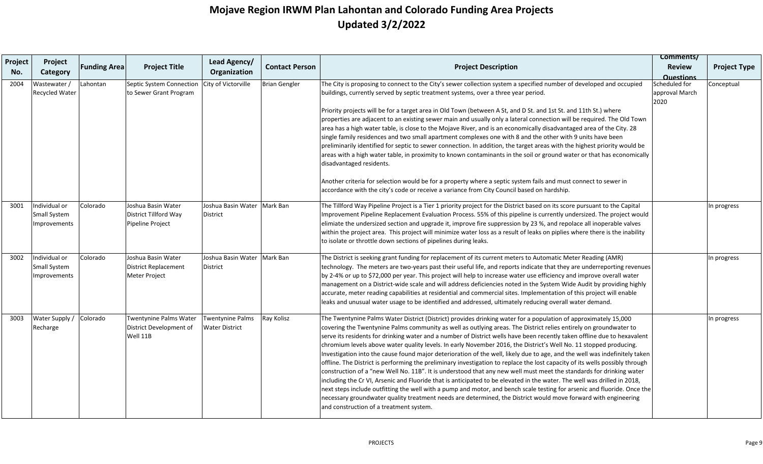| Project | Project                                       |                     |                                                                           | Lead Agency/                                     |                       |                                                                                                                                                                                                                                                                                                                                                                                                                                                                                                                                                                                                                                                                                                                                                                                                                                                                                                                                                                                                                                                                                                                                                                                                                                                                                                 | Comments/                               |                     |
|---------|-----------------------------------------------|---------------------|---------------------------------------------------------------------------|--------------------------------------------------|-----------------------|-------------------------------------------------------------------------------------------------------------------------------------------------------------------------------------------------------------------------------------------------------------------------------------------------------------------------------------------------------------------------------------------------------------------------------------------------------------------------------------------------------------------------------------------------------------------------------------------------------------------------------------------------------------------------------------------------------------------------------------------------------------------------------------------------------------------------------------------------------------------------------------------------------------------------------------------------------------------------------------------------------------------------------------------------------------------------------------------------------------------------------------------------------------------------------------------------------------------------------------------------------------------------------------------------|-----------------------------------------|---------------------|
| No.     | Category                                      | <b>Funding Area</b> | <b>Project Title</b>                                                      | Organization                                     | <b>Contact Person</b> | <b>Project Description</b>                                                                                                                                                                                                                                                                                                                                                                                                                                                                                                                                                                                                                                                                                                                                                                                                                                                                                                                                                                                                                                                                                                                                                                                                                                                                      | <b>Review</b><br><b>Questions</b>       | <b>Project Type</b> |
| 2004    | Wastewater /<br><b>Recycled Water</b>         | Lahontan            | Septic System Connection<br>to Sewer Grant Program                        | City of Victorville                              | <b>Brian Gengler</b>  | The City is proposing to connect to the City's sewer collection system a specified number of developed and occupied<br>buildings, currently served by septic treatment systems, over a three year period.                                                                                                                                                                                                                                                                                                                                                                                                                                                                                                                                                                                                                                                                                                                                                                                                                                                                                                                                                                                                                                                                                       | Scheduled for<br>approval March<br>2020 | Conceptual          |
|         |                                               |                     |                                                                           |                                                  |                       | Priority projects will be for a target area in Old Town (between A St, and D St. and 1st St. and 11th St.) where<br>properties are adjacent to an existing sewer main and usually only a lateral connection will be required. The Old Town<br>area has a high water table, is close to the Mojave River, and is an economically disadvantaged area of the City. 28<br>single family residences and two small apartment complexes one with 8 and the other with 9 units have been<br>preliminarily identified for septic to sewer connection. In addition, the target areas with the highest priority would be<br>areas with a high water table, in proximity to known contaminants in the soil or ground water or that has economically<br>disadvantaged residents.                                                                                                                                                                                                                                                                                                                                                                                                                                                                                                                             |                                         |                     |
|         |                                               |                     |                                                                           |                                                  |                       | Another criteria for selection would be for a property where a septic system fails and must connect to sewer in<br>accordance with the city's code or receive a variance from City Council based on hardship.                                                                                                                                                                                                                                                                                                                                                                                                                                                                                                                                                                                                                                                                                                                                                                                                                                                                                                                                                                                                                                                                                   |                                         |                     |
| 3001    | Individual or<br>Small System<br>Improvements | Colorado            | Joshua Basin Water<br>District Tillford Way<br>Pipeline Project           | Joshua Basin Water<br><b>District</b>            | Mark Ban              | The Tillford Way Pipeline Project is a Tier 1 priority project for the District based on its score pursuant to the Capital<br>Improvement Pipeline Replacement Evaluation Process. 55% of this pipeline is currently undersized. The project would<br>elimiate the undersized section and upgrade it, improve fire suppression by 23 %, and repolace all inoperable valves<br>within the project area. This project will minimize water loss as a result of leaks on piplies where there is the inability<br>to isolate or throttle down sections of pipelines during leaks.                                                                                                                                                                                                                                                                                                                                                                                                                                                                                                                                                                                                                                                                                                                    |                                         | In progress         |
| 3002    | Individual or<br>Small System<br>Improvements | Colorado            | Joshua Basin Water<br><b>District Replacement</b><br><b>Meter Project</b> | Joshua Basin Water<br>District                   | Mark Ban              | The District is seeking grant funding for replacement of its current meters to Automatic Meter Reading (AMR)<br>technology. The meters are two-years past their useful life, and reports indicate that they are underreporting revenues<br>by 2-4% or up to \$72,000 per year. This project will help to increase water use efficiency and improve overall water<br>management on a District-wide scale and will address deficiencies noted in the System Wide Audit by providing highly<br>accurate, meter reading capabilities at residential and commercial sites. Implementation of this project will enable<br>leaks and unusual water usage to be identified and addressed, ultimately reducing overall water demand.                                                                                                                                                                                                                                                                                                                                                                                                                                                                                                                                                                     |                                         | In progress         |
| 3003    | Water Supply /<br>Recharge                    | Colorado            | <b>Twentynine Palms Water</b><br>District Development of<br>Well 11B      | <b>Twentynine Palms</b><br><b>Water District</b> | Ray Kolisz            | The Twentynine Palms Water District (District) provides drinking water for a population of approximately 15,000<br>covering the Twentynine Palms community as well as outlying areas. The District relies entirely on groundwater to<br>serve its residents for drinking water and a number of District wells have been recently taken offline due to hexavalent<br>chromium levels above water quality levels. In early November 2016, the District's Well No. 11 stopped producing.<br>Investigation into the cause found major deterioration of the well, likely due to age, and the well was indefinitely taken<br>offline. The District is performing the preliminary investigation to replace the lost capacity of its wells possibly through<br>construction of a "new Well No. 11B". It is understood that any new well must meet the standards for drinking water<br>including the Cr VI, Arsenic and Fluoride that is anticipated to be elevated in the water. The well was drilled in 2018,<br>next steps include outfitting the well with a pump and motor, and bench scale testing for arsenic and fluoride. Once the<br>necessary groundwater quality treatment needs are determined, the District would move forward with engineering<br>and construction of a treatment system. |                                         | In progress         |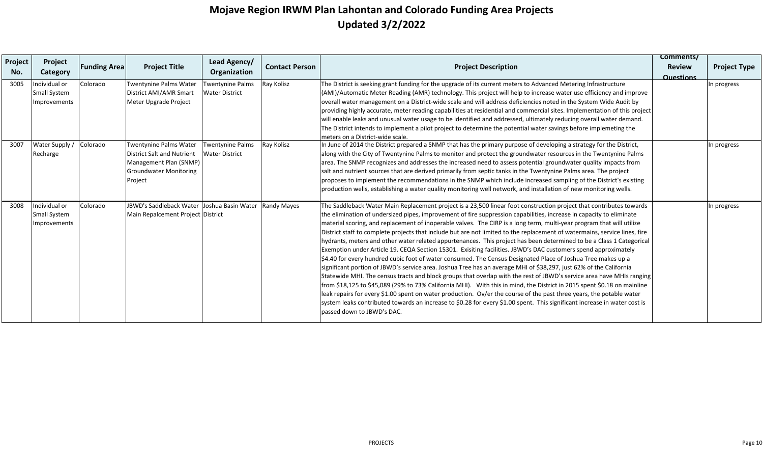| Project<br>No. | Project<br>Category                                  | <b>Funding Area</b> | <b>Project Title</b>                                                                                                              | Lead Agency/<br>Organization              | <b>Contact Person</b> | <b>Project Description</b>                                                                                                                                                                                                                                                                                                                                                                                                                                                                                                                                                                                                                                                                                                                                                                                                                                                                                                                                                                                                                                                                                                                                                                                                                                                                                                                                                                                                                                                                                                 | Comments/<br><b>Review</b><br><b>Questions</b> | <b>Project Type</b> |
|----------------|------------------------------------------------------|---------------------|-----------------------------------------------------------------------------------------------------------------------------------|-------------------------------------------|-----------------------|----------------------------------------------------------------------------------------------------------------------------------------------------------------------------------------------------------------------------------------------------------------------------------------------------------------------------------------------------------------------------------------------------------------------------------------------------------------------------------------------------------------------------------------------------------------------------------------------------------------------------------------------------------------------------------------------------------------------------------------------------------------------------------------------------------------------------------------------------------------------------------------------------------------------------------------------------------------------------------------------------------------------------------------------------------------------------------------------------------------------------------------------------------------------------------------------------------------------------------------------------------------------------------------------------------------------------------------------------------------------------------------------------------------------------------------------------------------------------------------------------------------------------|------------------------------------------------|---------------------|
| 3005           | Individual or<br><b>Small System</b><br>Improvements | Colorado            | Twentynine Palms Water<br>District AMI/AMR Smart<br>Meter Upgrade Project                                                         | Twentynine Palms<br><b>Water District</b> | Ray Kolisz            | The District is seeking grant funding for the upgrade of its current meters to Advanced Metering Infrastructure<br>(AMI)/Automatic Meter Reading (AMR) technology. This project will help to increase water use efficiency and improve<br>overall water management on a District-wide scale and will address deficiencies noted in the System Wide Audit by<br>providing highly accurate, meter reading capabilities at residential and commercial sites. Implementation of this project<br>will enable leaks and unusual water usage to be identified and addressed, ultimately reducing overall water demand.<br>The District intends to implement a pilot project to determine the potential water savings before implemeting the<br>lmeters on a District-wide scale.                                                                                                                                                                                                                                                                                                                                                                                                                                                                                                                                                                                                                                                                                                                                                  |                                                | In progress         |
| 3007           | Water Supply /<br>Recharge                           | Colorado            | Twentynine Palms Water<br><b>District Salt and Nutrient</b><br>Management Plan (SNMP)<br><b>Groundwater Monitoring</b><br>Project | Twentynine Palms<br><b>Water District</b> | Ray Kolisz            | In June of 2014 the District prepared a SNMP that has the primary purpose of developing a strategy for the District,<br>along with the City of Twentynine Palms to monitor and protect the groundwater resources in the Twentynine Palms<br>area. The SNMP recognizes and addresses the increased need to assess potential groundwater quality impacts from<br>salt and nutrient sources that are derived primarily from septic tanks in the Twentynine Palms area. The project<br>proposes to implement the recommendations in the SNMP which include increased sampling of the District's existing<br>production wells, establishing a water quality monitoring well network, and installation of new monitoring wells.                                                                                                                                                                                                                                                                                                                                                                                                                                                                                                                                                                                                                                                                                                                                                                                                  |                                                | In progress         |
| 3008           | Individual or<br><b>Small System</b><br>Improvements | Colorado            | JBWD's Saddleback Water Joshua Basin Water<br>Main Repalcement Project District                                                   |                                           | <b>Randy Mayes</b>    | The Saddleback Water Main Replacement project is a 23,500 linear foot construction project that contributes towards<br>the elimination of undersized pipes, improvement of fire suppression capabilities, increase in capacity to eliminate<br>material scoring, and replacement of inoperable valves. The CIRP is a long term, multi-year program that will utilize<br>District staff to complete projects that include but are not limited to the replacement of watermains, service lines, fire<br>hydrants, meters and other water related appurtenances. This project has been determined to be a Class 1 Categorical<br>Exemption under Article 19. CEQA Section 15301. Exisiting facilities. JBWD's DAC customers spend approximately<br>\$4.40 for every hundred cubic foot of water consumed. The Census Designated Place of Joshua Tree makes up a<br>significant portion of JBWD's service area. Joshua Tree has an average MHI of \$38,297, just 62% of the California<br>Statewide MHI. The census tracts and block groups that overlap with the rest of JBWD's service area have MHIs ranging<br>from \$18,125 to \$45,089 (29% to 73% California MHI). With this in mind, the District in 2015 spent \$0.18 on mainline<br>leak repairs for every \$1.00 spent on water production. Ov/er the course of the past three years, the potable water<br>system leaks contributed towards an increase to \$0.28 for every \$1.00 spent. This significant increase in water cost is<br>lpassed down to JBWD's DAC. |                                                | In progress         |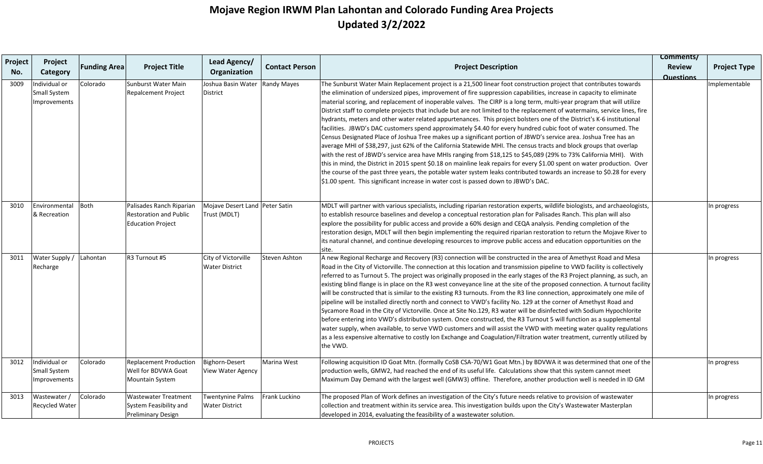|         | Project                                              |                     |                                                                                       | Lead Agency/                                   |                       |                                                                                                                                                                                                                                                                                                                                                                                                                                                                                                                                                                                                                                                                                                                                                                                                                                                                                                                                                                                                                                                                                                                                                                                                                                                                                                                                                                                                                                                            | Comments/        |                     |
|---------|------------------------------------------------------|---------------------|---------------------------------------------------------------------------------------|------------------------------------------------|-----------------------|------------------------------------------------------------------------------------------------------------------------------------------------------------------------------------------------------------------------------------------------------------------------------------------------------------------------------------------------------------------------------------------------------------------------------------------------------------------------------------------------------------------------------------------------------------------------------------------------------------------------------------------------------------------------------------------------------------------------------------------------------------------------------------------------------------------------------------------------------------------------------------------------------------------------------------------------------------------------------------------------------------------------------------------------------------------------------------------------------------------------------------------------------------------------------------------------------------------------------------------------------------------------------------------------------------------------------------------------------------------------------------------------------------------------------------------------------------|------------------|---------------------|
| Project |                                                      | <b>Funding Area</b> | <b>Project Title</b>                                                                  |                                                | <b>Contact Person</b> | <b>Project Description</b>                                                                                                                                                                                                                                                                                                                                                                                                                                                                                                                                                                                                                                                                                                                                                                                                                                                                                                                                                                                                                                                                                                                                                                                                                                                                                                                                                                                                                                 | <b>Review</b>    | <b>Project Type</b> |
| No.     | Category                                             |                     |                                                                                       | Organization                                   |                       |                                                                                                                                                                                                                                                                                                                                                                                                                                                                                                                                                                                                                                                                                                                                                                                                                                                                                                                                                                                                                                                                                                                                                                                                                                                                                                                                                                                                                                                            | <b>Questions</b> |                     |
| 3009    | Individual or<br>Small System<br>Improvements        | Colorado            | <b>Sunburst Water Main</b><br>Repalcement Project                                     | Joshua Basin Water<br><b>District</b>          | Randy Mayes           | The Sunburst Water Main Replacement project is a 21,500 linear foot construction project that contributes towards<br>the elimination of undersized pipes, improvement of fire suppression capabilities, increase in capacity to eliminate<br>material scoring, and replacement of inoperable valves. The CIRP is a long term, multi-year program that will utilize<br>District staff to complete projects that include but are not limited to the replacement of watermains, service lines, fire<br>hydrants, meters and other water related appurtenances. This project bolsters one of the District's K-6 institutional<br>facilities. JBWD's DAC customers spend approximately \$4.40 for every hundred cubic foot of water consumed. The<br>Census Designated Place of Joshua Tree makes up a significant portion of JBWD's service area. Joshua Tree has an<br>average MHI of \$38,297, just 62% of the California Statewide MHI. The census tracts and block groups that overlap<br>with the rest of JBWD's service area have MHIs ranging from \$18,125 to \$45,089 (29% to 73% California MHI). With<br>this in mind, the District in 2015 spent \$0.18 on mainline leak repairs for every \$1.00 spent on water production. Over<br>the course of the past three years, the potable water system leaks contributed towards an increase to \$0.28 for every<br>\$1.00 spent. This significant increase in water cost is passed down to JBWD's DAC. |                  | Implementable       |
| 3010    | Environmental<br>& Recreation                        | <b>Both</b>         | Palisades Ranch Riparian<br><b>Restoration and Public</b><br><b>Education Project</b> | Mojave Desert Land Peter Satin<br>Trust (MDLT) |                       | MDLT will partner with various specialists, including riparian restoration experts, wildlife biologists, and archaeologists,<br>to establish resource baselines and develop a conceptual restoration plan for Palisades Ranch. This plan will also<br>explore the possibility for public access and provide a 60% design and CEQA analysis. Pending completion of the<br>restoration design, MDLT will then begin implementing the required riparian restoration to return the Mojave River to<br>its natural channel, and continue developing resources to improve public access and education opportunities on the<br>site.                                                                                                                                                                                                                                                                                                                                                                                                                                                                                                                                                                                                                                                                                                                                                                                                                              |                  | In progress         |
| 3011    | Water Supply /<br>Recharge                           | Lahontan            | R3 Turnout #5                                                                         | City of Victorville<br><b>Water District</b>   | Steven Ashton         | A new Regional Recharge and Recovery (R3) connection will be constructed in the area of Amethyst Road and Mesa<br>Road in the City of Victorville. The connection at this location and transmission pipeline to VWD facility is collectively<br>referred to as Turnout 5. The project was originally proposed in the early stages of the R3 Project planning, as such, an<br>existing blind flange is in place on the R3 west conveyance line at the site of the proposed connection. A turnout facility<br>will be constructed that is similar to the existing R3 turnouts. From the R3 line connection, approximately one mile of<br>pipeline will be installed directly north and connect to VWD's facility No. 129 at the corner of Amethyst Road and<br>Sycamore Road in the City of Victorville. Once at Site No.129, R3 water will be disinfected with Sodium Hypochlorite<br>before entering into VWD's distribution system. Once constructed, the R3 Turnout 5 will function as a supplemental<br>water supply, when available, to serve VWD customers and will assist the VWD with meeting water quality regulations<br>as a less expensive alternative to costly Ion Exchange and Coagulation/Filtration water treatment, currently utilized by<br>the VWD.                                                                                                                                                                                     |                  | In progress         |
| 3012    | Individual or<br>Small System<br><b>Improvements</b> | Colorado            | <b>Replacement Production</b><br>Well for BDVWA Goat<br>Mountain System               | Bighorn-Desert<br><b>View Water Agency</b>     | Marina West           | Following acquisition ID Goat Mtn. (formally CoSB CSA-70/W1 Goat Mtn.) by BDVWA it was determined that one of the<br>production wells, GMW2, had reached the end of its useful life. Calculations show that this system cannot meet<br>Maximum Day Demand with the largest well (GMW3) offline. Therefore, another production well is needed in ID GM                                                                                                                                                                                                                                                                                                                                                                                                                                                                                                                                                                                                                                                                                                                                                                                                                                                                                                                                                                                                                                                                                                      |                  | In progress         |
| 3013    | Wastewater /<br>Recycled Water                       | Colorado            | <b>Wastewater Treatment</b><br>System Feasibility and<br><b>Preliminary Design</b>    | Twentynine Palms<br><b>Water District</b>      | Frank Luckino         | The proposed Plan of Work defines an investigation of the City's future needs relative to provision of wastewater<br>collection and treatment within its service area. This investigation builds upon the City's Wastewater Masterplan<br>developed in 2014, evaluating the feasibility of a wastewater solution.                                                                                                                                                                                                                                                                                                                                                                                                                                                                                                                                                                                                                                                                                                                                                                                                                                                                                                                                                                                                                                                                                                                                          |                  | In progress         |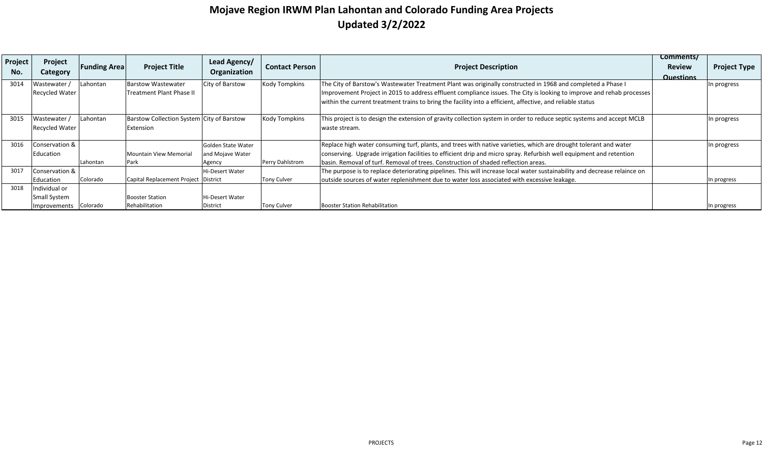| Project | Project               |                     |                                           | Lead Agency/           |                       |                                                                                                                           | Comments/        |                     |
|---------|-----------------------|---------------------|-------------------------------------------|------------------------|-----------------------|---------------------------------------------------------------------------------------------------------------------------|------------------|---------------------|
|         |                       | <b>Funding Area</b> | <b>Project Title</b>                      |                        | <b>Contact Person</b> | <b>Project Description</b>                                                                                                | <b>Review</b>    | <b>Project Type</b> |
| No.     | Category              |                     |                                           | Organization           |                       |                                                                                                                           | <b>Questions</b> |                     |
| 3014    | Wastewater            | Lahontan            | <b>Barstow Wastewater</b>                 | City of Barstow        | <b>Kody Tompkins</b>  | The City of Barstow's Wastewater Treatment Plant was originally constructed in 1968 and completed a Phase I               |                  | In progress         |
|         | <b>Recycled Water</b> |                     | Treatment Plant Phase II                  |                        |                       | Improvement Project in 2015 to address effluent compliance issues. The City is looking to improve and rehab processes     |                  |                     |
|         |                       |                     |                                           |                        |                       | within the current treatment trains to bring the facility into a efficient, affective, and reliable status                |                  |                     |
|         |                       |                     |                                           |                        |                       |                                                                                                                           |                  |                     |
| 3015    | Wastewater /          | Lahontan            | Barstow Collection System City of Barstow |                        | <b>Kody Tompkins</b>  | This project is to design the extension of gravity collection system in order to reduce septic systems and accept MCLB    |                  | In progress         |
|         | <b>Recycled Water</b> |                     | Extension                                 |                        |                       | waste stream.                                                                                                             |                  |                     |
|         |                       |                     |                                           |                        |                       |                                                                                                                           |                  |                     |
| 3016    | Conservation &        |                     |                                           | Golden State Water     |                       | Replace high water consuming turf, plants, and trees with native varieties, which are drought tolerant and water          |                  | In progress         |
|         | Education             |                     | <b>Mountain View Memorial</b>             | and Mojave Water       |                       | conserving. Upgrade irrigation facilities to efficient drip and micro spray. Refurbish well equipment and retention       |                  |                     |
|         |                       | Lahontan            | Park                                      | Agency                 | Perry Dahlstrom       | basin. Removal of turf. Removal of trees. Construction of shaded reflection areas.                                        |                  |                     |
| 3017    | Conservation &        |                     |                                           | <b>Hi-Desert Water</b> |                       | The purpose is to replace deteriorating pipelines. This will increase local water sustainability and decrease relaince on |                  |                     |
|         | Education             | Colorado            | Capital Replacement Project District      |                        | <b>Tony Culver</b>    | outside sources of water replenishment due to water loss associated with excessive leakage.                               |                  | In progress         |
| 3018    | Individual or         |                     |                                           |                        |                       |                                                                                                                           |                  |                     |
|         | <b>Small System</b>   |                     | <b>Booster Station</b>                    | <b>Hi-Desert Water</b> |                       |                                                                                                                           |                  |                     |
|         | Improvements Colorado |                     | Rehabilitation                            | District               | <b>Tony Culver</b>    | <b>Booster Station Rehabilitation</b>                                                                                     |                  | In progress         |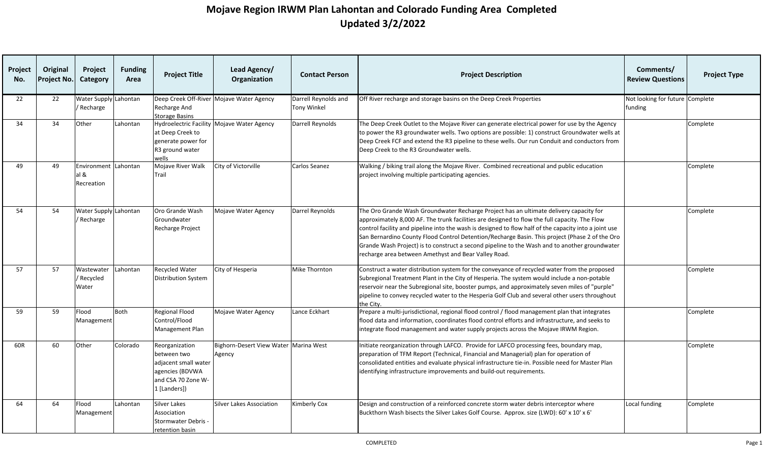| <b>Project</b><br>No. | Original<br>Project No. | Project<br>Category                        | <b>Funding</b><br>Area | <b>Project Title</b>                                                                                           | Lead Agency/<br>Organization                    | <b>Contact Person</b>                      | <b>Project Description</b>                                                                                                                                                                                                                                                                                                                                                                                                                                                                                                                                  | Comments/<br><b>Review Questions</b>       | <b>Project Type</b> |
|-----------------------|-------------------------|--------------------------------------------|------------------------|----------------------------------------------------------------------------------------------------------------|-------------------------------------------------|--------------------------------------------|-------------------------------------------------------------------------------------------------------------------------------------------------------------------------------------------------------------------------------------------------------------------------------------------------------------------------------------------------------------------------------------------------------------------------------------------------------------------------------------------------------------------------------------------------------------|--------------------------------------------|---------------------|
| 22                    | 22                      | Water Supply Lahontan<br>Recharge          |                        | Recharge And<br><b>Storage Basins</b>                                                                          | Deep Creek Off-River Mojave Water Agency        | Darrell Reynolds and<br><b>Tony Winkel</b> | Off River recharge and storage basins on the Deep Creek Properties                                                                                                                                                                                                                                                                                                                                                                                                                                                                                          | Not looking for future Complete<br>funding |                     |
| 34                    | 34                      | Other                                      | Lahontan               | at Deep Creek to<br>generate power for<br>R3 ground water<br>wells                                             | Hydroelectric Facility Mojave Water Agency      | Darrell Reynolds                           | The Deep Creek Outlet to the Mojave River can generate electrical power for use by the Agency<br>to power the R3 groundwater wells. Two options are possible: 1) construct Groundwater wells at<br>Deep Creek FCF and extend the R3 pipeline to these wells. Our run Conduit and conductors from<br>Deep Creek to the R3 Groundwater wells.                                                                                                                                                                                                                 |                                            | Complete            |
| 49                    | 49                      | Environment Lahontan<br>al &<br>Recreation |                        | Mojave River Walk<br>Trail                                                                                     | City of Victorville                             | Carlos Seanez                              | Walking / biking trail along the Mojave River. Combined recreational and public education<br>project involving multiple participating agencies.                                                                                                                                                                                                                                                                                                                                                                                                             |                                            | Complete            |
| 54                    | 54                      | Water Supply Lahontan<br>Recharge          |                        | Oro Grande Wash<br>Groundwater<br>Recharge Project                                                             | Mojave Water Agency                             | Darrel Reynolds                            | The Oro Grande Wash Groundwater Recharge Project has an ultimate delivery capacity for<br>approximately 8,000 AF. The trunk facilities are designed to flow the full capacity. The Flow<br>control facility and pipeline into the wash is designed to flow half of the capacity into a joint use<br>San Bernardino County Flood Control Detention/Recharge Basin. This project (Phase 2 of the Oro<br>Grande Wash Project) is to construct a second pipeline to the Wash and to another groundwater<br>recharge area between Amethyst and Bear Valley Road. |                                            | Complete            |
| 57                    | 57                      | Wastewater<br>Recycled<br>Water            | Lahontan               | <b>Recycled Water</b><br><b>Distribution System</b>                                                            | City of Hesperia                                | Mike Thornton                              | Construct a water distribution system for the conveyance of recycled water from the proposed<br>Subregional Treatment Plant in the City of Hesperia. The system would include a non-potable<br>reservoir near the Subregional site, booster pumps, and approximately seven miles of "purple"<br>pipeline to convey recycled water to the Hesperia Golf Club and several other users throughout<br>the City.                                                                                                                                                 |                                            | Complete            |
| 59                    | 59                      | Flood<br>Management                        | Both                   | <b>Regional Flood</b><br>Control/Flood<br>Management Plan                                                      | Mojave Water Agency                             | Lance Eckhart                              | Prepare a multi-jurisdictional, regional flood control / flood management plan that integrates<br>flood data and information, coordinates flood control efforts and infrastructure, and seeks to<br>integrate flood management and water supply projects across the Mojave IRWM Region.                                                                                                                                                                                                                                                                     |                                            | Complete            |
| 60R                   | 60                      | Other                                      | Colorado               | Reorganization<br>between two<br>adjacent small water<br>agencies (BDVWA<br>and CSA 70 Zone W-<br>1 [Landers]) | Bighorn-Desert View Water Marina West<br>Agency |                                            | Initiate reorganization through LAFCO. Provide for LAFCO processing fees, boundary map,<br>preparation of TFM Report (Technical, Financial and Managerial) plan for operation of<br>consolidated entities and evaluate physical infrastructure tie-in. Possible need for Master Plan<br>identifying infrastructure improvements and build-out requirements.                                                                                                                                                                                                 |                                            | Complete            |
| 64                    | 64                      | Flood<br>Management                        | Lahontan               | Silver Lakes<br>Association<br><b>Stormwater Debris -</b><br>retention basin                                   | Silver Lakes Association                        | Kimberly Cox                               | Design and construction of a reinforced concrete storm water debris interceptor where<br>Buckthorn Wash bisects the Silver Lakes Golf Course. Approx. size (LWD): 60' x 10' x 6'                                                                                                                                                                                                                                                                                                                                                                            | Local funding                              | Complete            |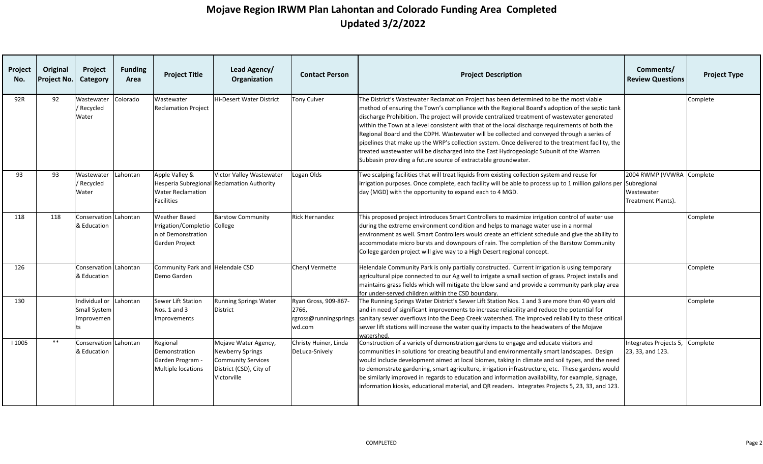| Project<br>No. | Original<br>Project No. | Project<br>Category                                               | <b>Funding</b><br>Area | <b>Project Title</b>                                                                         | Lead Agency/<br>Organization                                                                                           | <b>Contact Person</b>                   | <b>Project Description</b>                                                                                                                                                                                                                                                                                                                                                                                                                                                                                                                                                                                                                                                                                                                                    | Comments/<br><b>Review Questions</b>                          | <b>Project Type</b> |
|----------------|-------------------------|-------------------------------------------------------------------|------------------------|----------------------------------------------------------------------------------------------|------------------------------------------------------------------------------------------------------------------------|-----------------------------------------|---------------------------------------------------------------------------------------------------------------------------------------------------------------------------------------------------------------------------------------------------------------------------------------------------------------------------------------------------------------------------------------------------------------------------------------------------------------------------------------------------------------------------------------------------------------------------------------------------------------------------------------------------------------------------------------------------------------------------------------------------------------|---------------------------------------------------------------|---------------------|
| 92R            | 92                      | Wastewater<br>/ Recycled<br>Water                                 | Colorado               | Wastewater<br><b>Reclamation Project</b>                                                     | Hi-Desert Water District                                                                                               | <b>Tony Culver</b>                      | The District's Wastewater Reclamation Project has been determined to be the most viable<br>method of ensuring the Town's compliance with the Regional Board's adoption of the septic tank<br>discharge Prohibition. The project will provide centralized treatment of wastewater generated<br>within the Town at a level consistent with that of the local discharge requirements of both the<br>Regional Board and the CDPH. Wastewater will be collected and conveyed through a series of<br>pipelines that make up the WRP's collection system. Once delivered to the treatment facility, the<br>treated wastewater will be discharged into the East Hydrogeologic Subunit of the Warren<br>Subbasin providing a future source of extractable groundwater. |                                                               | Complete            |
| 93             | 93                      | Wastewater<br>/ Recycled<br>Water                                 | Lahontan               | Apple Valley &<br><b>Water Reclamation</b><br><b>Facilities</b>                              | Victor Valley Wastewater<br>Hesperia Subregional Reclamation Authority                                                 | Logan Olds                              | Two scalping facilities that will treat liquids from existing collection system and reuse for<br>irrigation purposes. Once complete, each facility will be able to process up to 1 million gallons per Subregional<br>day (MGD) with the opportunity to expand each to 4 MGD.                                                                                                                                                                                                                                                                                                                                                                                                                                                                                 | 2004 RWMP (VVWRA Complete<br>Wastewater<br>Treatment Plants). |                     |
| 118            | 118                     | Conservation Lahontan<br>& Education                              |                        | <b>Weather Based</b><br>Irrigation/Completio College<br>n of Demonstration<br>Garden Project | <b>Barstow Community</b>                                                                                               | <b>Rick Hernandez</b>                   | This proposed project introduces Smart Controllers to maximize irrigation control of water use<br>during the extreme environment condition and helps to manage water use in a normal<br>environment as well. Smart Controllers would create an efficient schedule and give the ability to<br>accommodate micro bursts and downpours of rain. The completion of the Barstow Community<br>College garden project will give way to a High Desert regional concept.                                                                                                                                                                                                                                                                                               |                                                               | Complete            |
| 126            |                         | Conservation Lahontan<br>& Education                              |                        | Community Park and Helendale CSD<br>Demo Garden                                              |                                                                                                                        | <b>Cheryl Vermette</b>                  | Helendale Community Park is only partially constructed. Current irrigation is using temporary<br>agricultural pipe connected to our Ag well to irrigate a small section of grass. Project installs and<br>maintains grass fields which will mitigate the blow sand and provide a community park play area<br>for under-served children within the CSD boundary.                                                                                                                                                                                                                                                                                                                                                                                               |                                                               | Complete            |
| 130            |                         | Individual or Lahontan<br><b>Small System</b><br>Improvemen<br>ts |                        | Sewer Lift Station<br>Nos. 1 and 3<br>Improvements                                           | <b>Running Springs Water</b><br>District                                                                               | Ryan Gross, 909-867-<br>2766,<br>wd.com | The Running Springs Water District's Sewer Lift Station Nos. 1 and 3 are more than 40 years old<br>and in need of significant improvements to increase reliability and reduce the potential for<br>rgross@runningsprings sanitary sewer overflows into the Deep Creek watershed. The improved reliability to these critical<br>sewer lift stations will increase the water quality impacts to the headwaters of the Mojave<br>watershed.                                                                                                                                                                                                                                                                                                                      |                                                               | Complete            |
| 1005           | $***$                   | Conservation Lahontan<br>& Education                              |                        | Regional<br>Demonstration<br>Garden Program -<br>Multiple locations                          | Mojave Water Agency,<br><b>Newberry Springs</b><br><b>Community Services</b><br>District (CSD), City of<br>Victorville | Christy Huiner, Linda<br>DeLuca-Snively | Construction of a variety of demonstration gardens to engage and educate visitors and<br>communities in solutions for creating beautiful and environmentally smart landscapes. Design<br>would include development aimed at local biomes, taking in climate and soil types, and the need<br>to demonstrate gardening, smart agriculture, irrigation infrastructure, etc. These gardens would<br>be similarly improved in regards to education and information availability, for example, signage,<br>information kiosks, educational material, and QR readers. Integrates Projects 5, 23, 33, and 123.                                                                                                                                                        | Integrates Projects 5,<br>23, 33, and 123.                    | Complete            |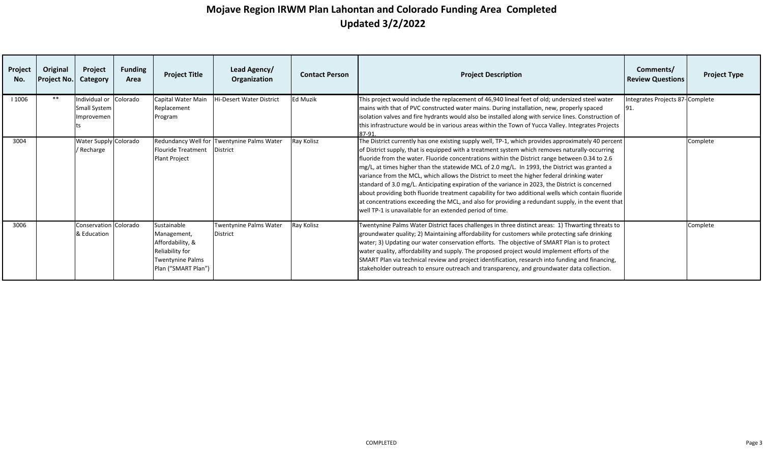| Project<br>No. | Original<br><b>Project No.</b> | Project<br>Category                                  | <b>Funding</b><br>Area | <b>Project Title</b>                                                                                                | Lead Agency/<br>Organization                                  | <b>Contact Person</b> | <b>Project Description</b>                                                                                                                                                                                                                                                                                                                                                                                                                                                                                                                                                                                                                                                                                                                                                                                                                                                       | Comments/<br><b>Review Questions</b>   | <b>Project Type</b> |
|----------------|--------------------------------|------------------------------------------------------|------------------------|---------------------------------------------------------------------------------------------------------------------|---------------------------------------------------------------|-----------------------|----------------------------------------------------------------------------------------------------------------------------------------------------------------------------------------------------------------------------------------------------------------------------------------------------------------------------------------------------------------------------------------------------------------------------------------------------------------------------------------------------------------------------------------------------------------------------------------------------------------------------------------------------------------------------------------------------------------------------------------------------------------------------------------------------------------------------------------------------------------------------------|----------------------------------------|---------------------|
| 1006           | **                             | Individual or Colorado<br>Small System<br>Improvemen |                        | Capital Water Main<br>Replacement<br>Program                                                                        | Hi-Desert Water District                                      | <b>Ed Muzik</b>       | This project would include the replacement of 46,940 lineal feet of old; undersized steel water<br>mains with that of PVC constructed water mains. During installation, new, properly spaced<br>isolation valves and fire hydrants would also be installed along with service lines. Construction of<br>this infrastructure would be in various areas within the Town of Yucca Valley. Integrates Projects<br>87-91.                                                                                                                                                                                                                                                                                                                                                                                                                                                             | Integrates Projects 87-Complete<br>91. |                     |
| 3004           |                                | Water Supply Colorado<br>/ Recharge                  |                        | <b>Flouride Treatment</b><br>Plant Project                                                                          | Redundancy Well for Twentynine Palms Water<br><b>District</b> | Ray Kolisz            | The District currently has one existing supply well, TP-1, which provides approximately 40 percent<br>of District supply, that is equipped with a treatment system which removes naturally-occurring<br>fluoride from the water. Fluoride concentrations within the District range between 0.34 to 2.6<br>mg/L, at times higher than the statewide MCL of 2.0 mg/L. In 1993, the District was granted a<br>variance from the MCL, which allows the District to meet the higher federal drinking water<br>standard of 3.0 mg/L. Anticipating expiration of the variance in 2023, the District is concerned<br>about providing both fluoride treatment capability for two additional wells which contain fluoride<br>at concentrations exceeding the MCL, and also for providing a redundant supply, in the event that<br>well TP-1 is unavailable for an extended period of time. |                                        | Complete            |
| 3006           |                                | Conservation Colorado<br>& Education                 |                        | Sustainable<br>Management,<br>Affordability, &<br>Reliability for<br><b>Twentynine Palms</b><br>Plan ("SMART Plan") | Twentynine Palms Water<br><b>District</b>                     | Ray Kolisz            | Twentynine Palms Water District faces challenges in three distinct areas: 1) Thwarting threats to<br>groundwater quality; 2) Maintaining affordability for customers while protecting safe drinking<br>water; 3) Updating our water conservation efforts. The objective of SMART Plan is to protect<br>water quality, affordability and supply. The proposed project would implement efforts of the<br>SMART Plan via technical review and project identification, research into funding and financing,<br>stakeholder outreach to ensure outreach and transparency, and groundwater data collection.                                                                                                                                                                                                                                                                            |                                        | Complete            |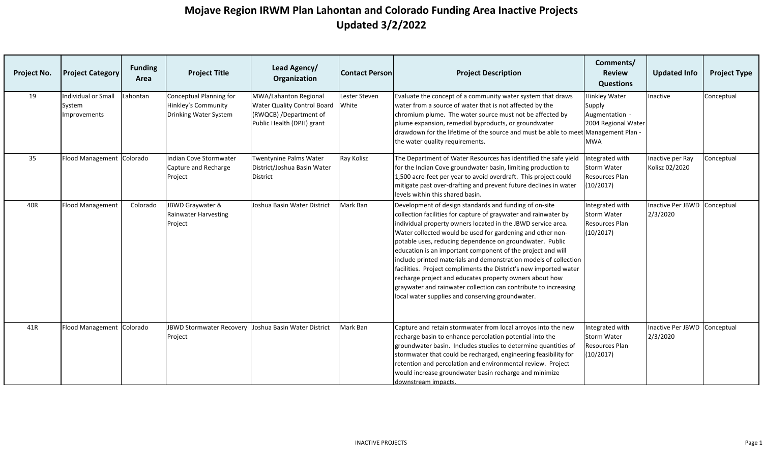| Project No. | <b>Project Category</b>                       | <b>Funding</b><br>Area | <b>Project Title</b>                                                    | Lead Agency/<br>Organization                                                                                       | <b>Contact Person</b>  | <b>Project Description</b>                                                                                                                                                                                                                                                                                                                                                                                                                                                                                                                                                                                                                                                                                    | Comments/<br><b>Review</b><br><b>Questions</b>                                        | <b>Updated Info</b>                  | <b>Project Type</b> |
|-------------|-----------------------------------------------|------------------------|-------------------------------------------------------------------------|--------------------------------------------------------------------------------------------------------------------|------------------------|---------------------------------------------------------------------------------------------------------------------------------------------------------------------------------------------------------------------------------------------------------------------------------------------------------------------------------------------------------------------------------------------------------------------------------------------------------------------------------------------------------------------------------------------------------------------------------------------------------------------------------------------------------------------------------------------------------------|---------------------------------------------------------------------------------------|--------------------------------------|---------------------|
| 19          | Individual or Small<br>System<br>Improvements | Lahontan               | Conceptual Planning for<br>Hinkley's Community<br>Drinking Water System | MWA/Lahanton Regional<br><b>Water Quality Control Board</b><br>(RWQCB) /Department of<br>Public Health (DPH) grant | Lester Steven<br>White | Evaluate the concept of a community water system that draws<br>water from a source of water that is not affected by the<br>chromium plume. The water source must not be affected by<br>plume expansion, remedial byproducts, or groundwater<br>drawdown for the lifetime of the source and must be able to meet Management Plan -<br>the water quality requirements.                                                                                                                                                                                                                                                                                                                                          | <b>Hinkley Water</b><br>Supply<br>Augmentation -<br>2004 Regional Water<br><b>MWA</b> | Inactive                             | Conceptual          |
| 35          | Flood Management Colorado                     |                        | Indian Cove Stormwater<br>Capture and Recharge<br>Project               | <b>Twentynine Palms Water</b><br>District/Joshua Basin Water<br><b>District</b>                                    | Ray Kolisz             | The Department of Water Resources has identified the safe yield<br>for the Indian Cove groundwater basin, limiting production to<br>1,500 acre-feet per year to avoid overdraft. This project could<br>mitigate past over-drafting and prevent future declines in water<br>levels within this shared basin.                                                                                                                                                                                                                                                                                                                                                                                                   | Integrated with<br><b>Storm Water</b><br><b>Resources Plan</b><br>(10/2017)           | Inactive per Ray<br>Kolisz 02/2020   | Conceptual          |
| 40R         | <b>Flood Management</b>                       | Colorado               | JBWD Graywater &<br>Rainwater Harvesting<br>Project                     | Joshua Basin Water District                                                                                        | Mark Ban               | Development of design standards and funding of on-site<br>collection facilities for capture of graywater and rainwater by<br>individual property owners located in the JBWD service area.<br>Water collected would be used for gardening and other non-<br>potable uses, reducing dependence on groundwater. Public<br>education is an important component of the project and will<br>include printed materials and demonstration models of collection<br>facilities. Project compliments the District's new imported water<br>recharge project and educates property owners about how<br>graywater and rainwater collection can contribute to increasing<br>local water supplies and conserving groundwater. | Integrated with<br>Storm Water<br>Resources Plan<br>(10/2017)                         | <b>Inactive Per JBWD</b><br>2/3/2020 | Conceptual          |
| 41R         | Flood Management Colorado                     |                        | <b>JBWD Stormwater Recovery</b><br>Project                              | Joshua Basin Water District                                                                                        | Mark Ban               | Capture and retain stormwater from local arroyos into the new<br>recharge basin to enhance percolation potential into the<br>groundwater basin. Includes studies to determine quantities of<br>stormwater that could be recharged, engineering feasibility for<br>retention and percolation and environmental review. Project<br>would increase groundwater basin recharge and minimize<br>downstream impacts.                                                                                                                                                                                                                                                                                                | Integrated with<br>Storm Water<br>Resources Plan<br>(10/2017)                         | Inactive Per JBWD<br>2/3/2020        | Conceptual          |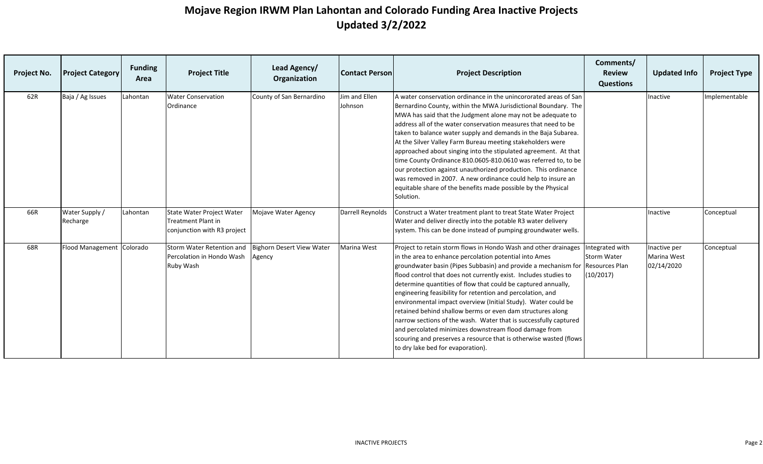| Project No. | <b>Project Category</b>    | <b>Funding</b><br>Area | <b>Project Title</b>                                                                  | Lead Agency/<br>Organization        | <b>Contact Person</b>    | <b>Project Description</b>                                                                                                                                                                                                                                                                                                                                                                                                                                                                                                                                                                                                                                                                                                                                           | Comments/<br><b>Review</b><br><b>Questions</b>                       | <b>Updated Info</b>                       | <b>Project Type</b> |
|-------------|----------------------------|------------------------|---------------------------------------------------------------------------------------|-------------------------------------|--------------------------|----------------------------------------------------------------------------------------------------------------------------------------------------------------------------------------------------------------------------------------------------------------------------------------------------------------------------------------------------------------------------------------------------------------------------------------------------------------------------------------------------------------------------------------------------------------------------------------------------------------------------------------------------------------------------------------------------------------------------------------------------------------------|----------------------------------------------------------------------|-------------------------------------------|---------------------|
| 62R         | Baja / Ag Issues           | Lahontan               | <b>Water Conservation</b><br>Ordinance                                                | County of San Bernardino            | Jim and Ellen<br>Johnson | A water conservation ordinance in the unincororated areas of San<br>Bernardino County, within the MWA Jurisdictional Boundary. The<br>MWA has said that the Judgment alone may not be adequate to<br>address all of the water conservation measures that need to be<br>taken to balance water supply and demands in the Baja Subarea.<br>At the Silver Valley Farm Bureau meeting stakeholders were<br>approached about singing into the stipulated agreement. At that<br>time County Ordinance 810.0605-810.0610 was referred to, to be<br>our protection against unauthorized production. This ordinance<br>was removed in 2007. A new ordinance could help to insure an<br>equitable share of the benefits made possible by the Physical<br>Solution.             |                                                                      | Inactive                                  | Implementable       |
| 66R         | Water Supply /<br>Recharge | Lahontan               | State Water Project Water<br><b>Treatment Plant in</b><br>conjunction with R3 project | Mojave Water Agency                 | Darrell Reynolds         | Construct a Water treatment plant to treat State Water Project<br>Water and deliver directly into the potable R3 water delivery<br>system. This can be done instead of pumping groundwater wells.                                                                                                                                                                                                                                                                                                                                                                                                                                                                                                                                                                    |                                                                      | Inactive                                  | Conceptual          |
| 68R         | Flood Management Colorado  |                        | Storm Water Retention and<br>Percolation in Hondo Wash<br>Ruby Wash                   | Bighorn Desert View Water<br>Agency | Marina West              | Project to retain storm flows in Hondo Wash and other drainages<br>in the area to enhance percolation potential into Ames<br>groundwater basin (Pipes Subbasin) and provide a mechanism for<br>flood control that does not currently exist. Includes studies to<br>determine quantities of flow that could be captured annually,<br>engineering feasibility for retention and percolation, and<br>environmental impact overview (Initial Study). Water could be<br>retained behind shallow berms or even dam structures along<br>narrow sections of the wash. Water that is successfully captured<br>and percolated minimizes downstream flood damage from<br>scouring and preserves a resource that is otherwise wasted (flows<br>to dry lake bed for evaporation). | Integrated with<br>Storm Water<br><b>Resources Plan</b><br>(10/2017) | Inactive per<br>Marina West<br>02/14/2020 | Conceptual          |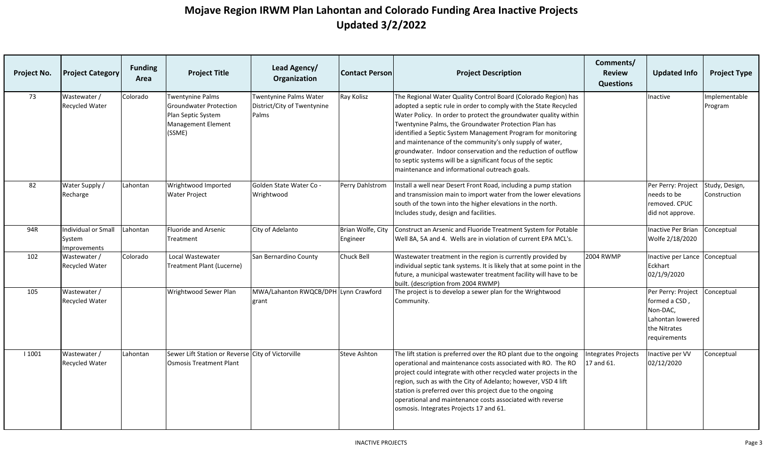| Project No. | <b>Project Category</b>                       | <b>Funding</b><br>Area | <b>Project Title</b>                                                                                           | Lead Agency/<br>Organization                                          | <b>Contact Person</b>         | <b>Project Description</b>                                                                                                                                                                                                                                                                                                                                                                                                                                                                                                                                                   | Comments/<br><b>Review</b><br><b>Questions</b> | <b>Updated Info</b>                                                                                 | <b>Project Type</b>            |
|-------------|-----------------------------------------------|------------------------|----------------------------------------------------------------------------------------------------------------|-----------------------------------------------------------------------|-------------------------------|------------------------------------------------------------------------------------------------------------------------------------------------------------------------------------------------------------------------------------------------------------------------------------------------------------------------------------------------------------------------------------------------------------------------------------------------------------------------------------------------------------------------------------------------------------------------------|------------------------------------------------|-----------------------------------------------------------------------------------------------------|--------------------------------|
| 73          | Wastewater /<br><b>Recycled Water</b>         | Colorado               | <b>Twentynine Palms</b><br><b>Groundwater Protection</b><br>Plan Septic System<br>Management Element<br>(SSME) | <b>Twentynine Palms Water</b><br>District/City of Twentynine<br>Palms | Ray Kolisz                    | The Regional Water Quality Control Board (Colorado Region) has<br>adopted a septic rule in order to comply with the State Recycled<br>Water Policy. In order to protect the groundwater quality within<br>Twentynine Palms, the Groundwater Protection Plan has<br>identified a Septic System Management Program for monitoring<br>and maintenance of the community's only supply of water,<br>groundwater. Indoor conservation and the reduction of outflow<br>to septic systems will be a significant focus of the septic<br>maintenance and informational outreach goals. |                                                | Inactive                                                                                            | Implementable<br>Program       |
| 82          | Water Supply /<br>Recharge                    | Lahontan               | Wrightwood Imported<br><b>Water Project</b>                                                                    | Golden State Water Co -<br>Wrightwood                                 | Perry Dahlstrom               | Install a well near Desert Front Road, including a pump station<br>and transmission main to import water from the lower elevations<br>south of the town into the higher elevations in the north.<br>Includes study, design and facilities.                                                                                                                                                                                                                                                                                                                                   |                                                | Per Perry: Project<br>needs to be<br>removed. CPUC<br>did not approve.                              | Study, Design,<br>Construction |
| 94R         | Individual or Small<br>System<br>Improvements | Lahontan               | Fluoride and Arsenic<br>Treatment                                                                              | City of Adelanto                                                      | Brian Wolfe, City<br>Engineer | Construct an Arsenic and Fluoride Treatment System for Potable<br>Well 8A, 5A and 4. Wells are in violation of current EPA MCL's.                                                                                                                                                                                                                                                                                                                                                                                                                                            |                                                | <b>Inactive Per Brian</b><br>Wolfe 2/18/2020                                                        | Conceptual                     |
| 102         | Wastewater /<br>Recycled Water                | Colorado               | Local Wastewater<br><b>Treatment Plant (Lucerne)</b>                                                           | San Bernardino County                                                 | Chuck Bell                    | Wastewater treatment in the region is currently provided by<br>individual septic tank systems. It is likely that at some point in the<br>future, a municipal wastewater treatment facility will have to be<br>built. (description from 2004 RWMP)                                                                                                                                                                                                                                                                                                                            | <b>2004 RWMP</b>                               | Inactive per Lance<br>Eckhart<br>02/1/9/2020                                                        | Conceptual                     |
| 105         | Wastewater /<br>Recycled Water                |                        | Wrightwood Sewer Plan                                                                                          | MWA/Lahanton RWQCB/DPH Lynn Crawford<br>grant                         |                               | The project is to develop a sewer plan for the Wrightwood<br>Community.                                                                                                                                                                                                                                                                                                                                                                                                                                                                                                      |                                                | Per Perry: Project<br>formed a CSD,<br>Non-DAC,<br>Lahontan lowered<br>the Nitrates<br>requirements | Conceptual                     |
| 1001        | Wastewater /<br>Recycled Water                | Lahontan               | Sewer Lift Station or Reverse City of Victorville<br><b>Osmosis Treatment Plant</b>                            |                                                                       | <b>Steve Ashton</b>           | The lift station is preferred over the RO plant due to the ongoing<br>operational and maintenance costs associated with RO. The RO<br>project could integrate with other recycled water projects in the<br>region, such as with the City of Adelanto; however, VSD 4 lift<br>station is preferred over this project due to the ongoing<br>operational and maintenance costs associated with reverse<br>osmosis. Integrates Projects 17 and 61.                                                                                                                               | ntegrates Projects<br>17 and 61.               | Inactive per VV<br>02/12/2020                                                                       | Conceptual                     |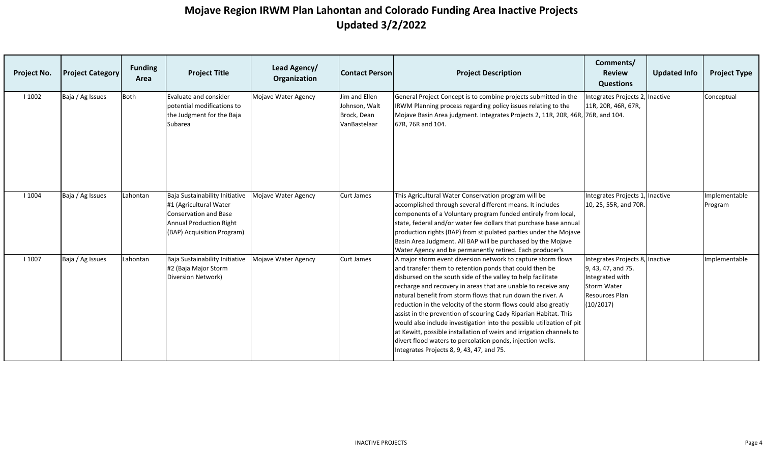| Project No. | <b>Project Category</b> | <b>Funding</b><br>Area | <b>Project Title</b>                                                                                                                                     | Lead Agency/<br>Organization | <b>Contact Person</b>                                         | <b>Project Description</b>                                                                                                                                                                                                                                                                                                                                                                                                                                                                                                                                                                                                                                                                                                 | Comments/<br><b>Review</b><br><b>Questions</b>                                                                                | <b>Updated Info</b> | <b>Project Type</b>      |
|-------------|-------------------------|------------------------|----------------------------------------------------------------------------------------------------------------------------------------------------------|------------------------------|---------------------------------------------------------------|----------------------------------------------------------------------------------------------------------------------------------------------------------------------------------------------------------------------------------------------------------------------------------------------------------------------------------------------------------------------------------------------------------------------------------------------------------------------------------------------------------------------------------------------------------------------------------------------------------------------------------------------------------------------------------------------------------------------------|-------------------------------------------------------------------------------------------------------------------------------|---------------------|--------------------------|
| 1002        | Baja / Ag Issues        | Both                   | Evaluate and consider<br>potential modifications to<br>the Judgment for the Baja<br>Subarea                                                              | Mojave Water Agency          | Jim and Ellen<br>Johnson, Walt<br>Brock, Dean<br>VanBastelaar | General Project Concept is to combine projects submitted in the<br>IRWM Planning process regarding policy issues relating to the<br>Mojave Basin Area judgment. Integrates Projects 2, 11R, 20R, 46R, 76R, and 104.<br>67R, 76R and 104.                                                                                                                                                                                                                                                                                                                                                                                                                                                                                   | Integrates Projects 2,<br>11R, 20R, 46R, 67R,                                                                                 | Inactive            | Conceptual               |
| 1004        | Baja / Ag Issues        | Lahontan               | Baja Sustainability Initiative<br>#1 (Agricultural Water<br><b>Conservation and Base</b><br><b>Annual Production Right</b><br>(BAP) Acquisition Program) | Mojave Water Agency          | Curt James                                                    | This Agricultural Water Conservation program will be<br>accomplished through several different means. It includes<br>components of a Voluntary program funded entirely from local,<br>state, federal and/or water fee dollars that purchase base annual<br>production rights (BAP) from stipulated parties under the Mojave<br>Basin Area Judgment. All BAP will be purchased by the Mojave<br>Water Agency and be permanently retired. Each producer's                                                                                                                                                                                                                                                                    | Integrates Projects 1, Inactive<br>10, 25, 55R, and 70R                                                                       |                     | Implementable<br>Program |
| 1007        | Baja / Ag Issues        | Lahontan               | Baja Sustainability Initiative<br>#2 (Baja Major Storm<br>Diversion Network)                                                                             | Mojave Water Agency          | <b>Curt James</b>                                             | A major storm event diversion network to capture storm flows<br>and transfer them to retention ponds that could then be<br>disbursed on the south side of the valley to help facilitate<br>recharge and recovery in areas that are unable to receive any<br>natural benefit from storm flows that run down the river. A<br>reduction in the velocity of the storm flows could also greatly<br>assist in the prevention of scouring Cady Riparian Habitat. This<br>would also include investigation into the possible utilization of pit<br>at Kewitt, possible installation of weirs and irrigation channels to<br>divert flood waters to percolation ponds, injection wells.<br>Integrates Projects 8, 9, 43, 47, and 75. | Integrates Projects 8, Inactive<br>9, 43, 47, and 75.<br>Integrated with<br><b>Storm Water</b><br>Resources Plan<br>(10/2017) |                     | Implementable            |